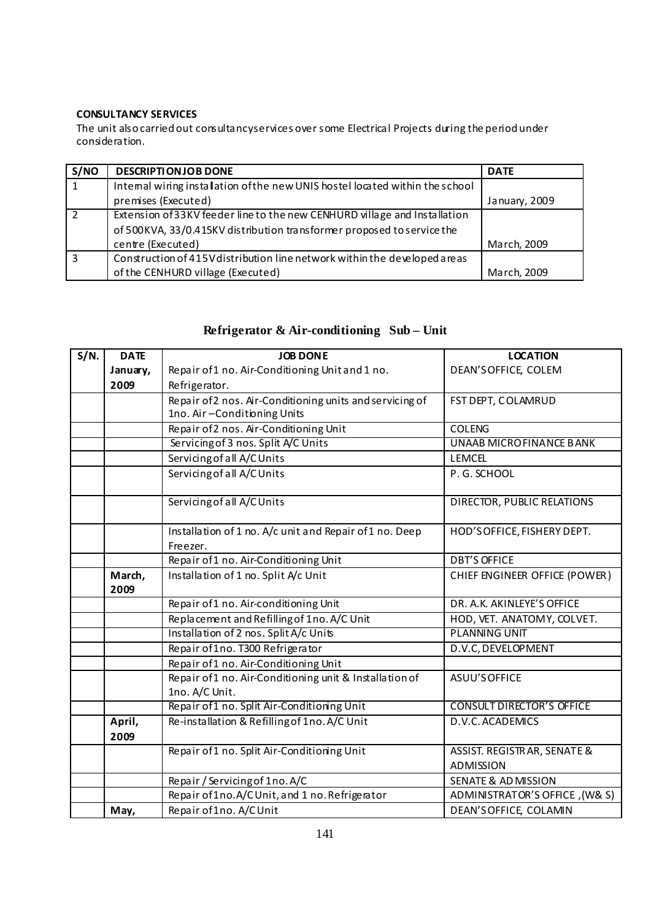### **CONSULTANCY SERVICES**

The unit alsocarriedout consultancyservices over some Electrical Projects during the periodunder consideration.

| S/NO           | <b>DESCRIPTIONJOB DONE</b>                                                    | <b>DATE</b>   |
|----------------|-------------------------------------------------------------------------------|---------------|
| $\overline{1}$ | Internal wiring installation of the new UNIS hostel located within the school |               |
|                | premises (Executed)                                                           | January, 2009 |
| 2              | Extension of 33KV feeder line to the new CENHURD village and Installation     |               |
|                | of 500KVA, 33/0.415KV distribution transformer proposed to service the        |               |
|                | centre (Executed)                                                             | March, 2009   |
| 3              | Construction of 415V distribution line network within the developed areas     |               |
|                | of the CENHURD village (Executed)                                             | March, 2009   |

# **Refrigerator & Air-conditioning Sub – Unit**

| S/N. | <b>DATE</b>    | <b>JOB DONE</b>                                                           | <b>LOCATION</b>                                 |
|------|----------------|---------------------------------------------------------------------------|-------------------------------------------------|
|      | January,       | Repair of 1 no. Air-Conditioning Unit and 1 no.                           | DEAN'S OFFICE, COLEM                            |
|      | 2009           | Refrigerator.                                                             |                                                 |
|      |                | Repair of 2 nos. Air-Conditioning units and servicing of                  | FST DEPT, COLAMRUD                              |
|      |                | 1no. Air-Conditioning Units                                               |                                                 |
|      |                | Repair of 2 nos. Air-Conditioning Unit                                    | <b>COLENG</b>                                   |
|      |                | Servicing of 3 nos. Split A/C Units                                       | <b>UNAAB MICROFINANCE BANK</b>                  |
|      |                | Servicing of all A/C Units                                                | <b>LEMCEL</b>                                   |
|      |                | Servicing of all A/C Units                                                | P. G. SCHOOL                                    |
|      |                | Servicing of all A/C Units                                                | DIRECTOR, PUBLIC RELATIONS                      |
|      |                | Installation of 1 no. A/c unit and Repair of 1 no. Deep<br>Freezer.       | HOD'S OFFICE, FISHERY DEPT.                     |
|      |                | Repair of 1 no. Air-Conditioning Unit                                     | <b>DBT'S OFFICE</b>                             |
|      | March,<br>2009 | Installation of 1 no. Split A/c Unit                                      | CHIEF ENGINEER OFFICE (POWER)                   |
|      |                | Repair of 1 no. Air-conditioning Unit                                     | DR. A.K. AKINLEYE'S OFFICE                      |
|      |                | Replacement and Refilling of 1no. A/C Unit                                | HOD, VET. ANATOMY, COLVET.                      |
|      |                | Installation of 2 nos. Split A/c Units                                    | <b>PLANNING UNIT</b>                            |
|      |                | Repair of 1no. T300 Refrigerator                                          | D.V.C, DEVELOPMENT                              |
|      |                | Repair of 1 no. Air-Conditioning Unit                                     |                                                 |
|      |                | Repair of 1 no. Air-Conditioning unit & Installation of<br>1no. A/C Unit. | ASUU'S OFFICE                                   |
|      |                | Repair of 1 no. Split Air-Conditioning Unit                               | <b>CONSULT DIRECTOR'S OFFICE</b>                |
|      | April,<br>2009 | Re-installation & Refilling of 1no. A/C Unit                              | D.V.C. ACADEMICS                                |
|      |                | Repair of 1 no. Split Air-Conditioning Unit                               | ASSIST. REGISTRAR, SENATE &<br><b>ADMISSION</b> |
|      |                | Repair / Servicing of 1no. A/C                                            | <b>SENATE &amp; AD MISSION</b>                  |
|      |                | Repair of 1no.A/CUnit, and 1 no. Refrigerator                             | ADMINISTRATOR'S OFFICE, (W& S)                  |
|      | May,           | Repair of 1no. A/CUnit                                                    | DEAN'S OFFICE, COLAMIN                          |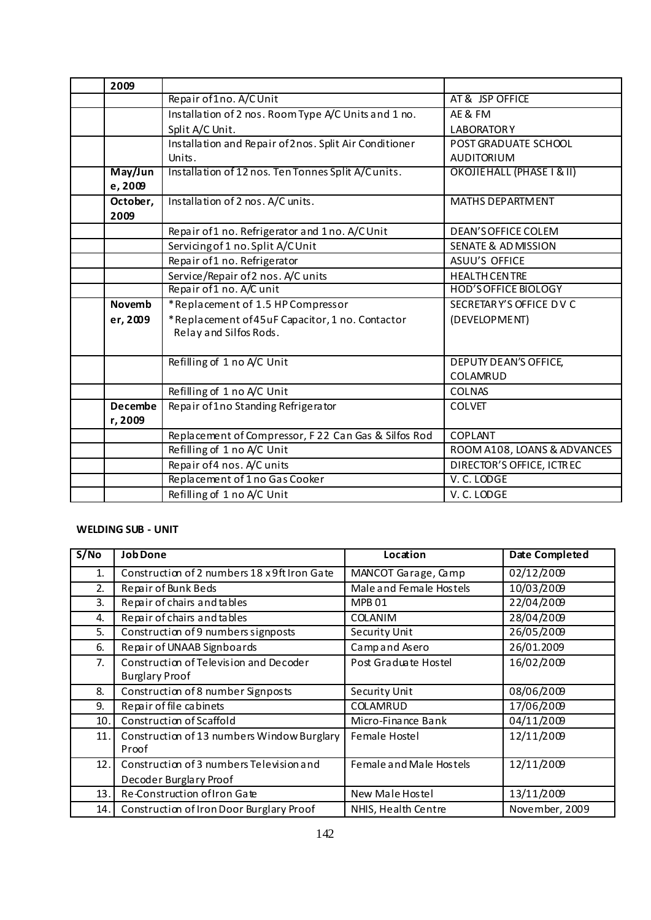| 2009           |                                                        |                                |
|----------------|--------------------------------------------------------|--------------------------------|
|                | Repair of 1no. A/CUnit                                 | AT & JSP OFFICE                |
|                | Installation of 2 nos. Room Type A/C Units and 1 no.   | AE & FM                        |
|                | Split A/C Unit.                                        | <b>LABORATORY</b>              |
|                | Installation and Repair of 2nos. Split Air Conditioner | POST GRADUATE SCHOOL           |
|                | Units.                                                 | <b>AUDITORIUM</b>              |
| May/Jun        | Installation of 12 nos. Ten Tonnes Split A/Cunits.     | OKOJIEHALL (PHASE I & II)      |
| e, 2009        |                                                        |                                |
| October,       | Installation of 2 nos. A/C units.                      | <b>MATHS DEPARTMENT</b>        |
| 2009           |                                                        |                                |
|                | Repair of 1 no. Refrigerator and 1 no. A/C Unit        | <b>DEAN'S OFFICE COLEM</b>     |
|                | Servicing of 1 no. Split A/CUnit                       | <b>SENATE &amp; AD MISSION</b> |
|                | Repair of 1 no. Refrigerator                           | ASUU'S OFFICE                  |
|                | Service/Repair of 2 nos. A/C units                     | <b>HEALTH CENTRE</b>           |
|                | Repair of 1 no. A/C unit                               | <b>HOD'S OFFICE BIOLOGY</b>    |
| <b>Novemb</b>  | *Replacement of 1.5 HP Compressor                      | SECRETARY'S OFFICE DV C        |
| er, 2009       | *Replacement of 45uF Capacitor, 1 no. Contactor        | (DEVELOPMENT)                  |
|                | Relay and Silfos Rods.                                 |                                |
|                |                                                        |                                |
|                | Refilling of 1 no A/C Unit                             | DEPUTY DEAN'S OFFICE,          |
|                |                                                        | <b>COLAMRUD</b>                |
|                | Refilling of 1 no A/C Unit                             | <b>COLNAS</b>                  |
| <b>Decembe</b> | Repair of 1no Standing Refrigerator                    | <b>COLVET</b>                  |
| r, 2009        |                                                        |                                |
|                | Replacement of Compressor, F22 Can Gas & Silfos Rod    | <b>COPLANT</b>                 |
|                | Refilling of 1 no A/C Unit                             | ROOM A108, LOANS & ADVANCES    |
|                | Repair of 4 nos. A/C units                             | DIRECTOR'S OFFICE, ICTREC      |
|                | Replacement of 1 no Gas Cooker                         | V. C. LODGE                    |
|                | Refilling of 1 no A/C Unit                             | V.C.LODGE                      |

# **WELDING SUB ‐ UNIT**

| S/No | <b>Job Done</b>                                                 | Location                | Date Completed |
|------|-----------------------------------------------------------------|-------------------------|----------------|
| 1.   | Construction of 2 numbers 18 x 9ft Iron Gate                    | MANCOT Garage, Camp     | 02/12/2009     |
| 2.   | Repair of Bunk Beds                                             | Male and Female Hostels | 10/03/2009     |
| 3.   | Repair of chairs and tables                                     | MPB <sub>01</sub>       | 22/04/2009     |
| 4.   | Repair of chairs and tables                                     | <b>COLANIM</b>          | 28/04/2009     |
| 5.   | Construction of 9 numbers signposts                             | Security Unit           | 26/05/2009     |
| 6.   | Repair of UNAAB Signboards                                      | Campand Asero           | 26/01.2009     |
| 7.   | Construction of Television and Decoder<br><b>Burglary Proof</b> | Post Graduate Hostel    | 16/02/2009     |
| 8.   | Construction of 8 number Signposts                              | Security Unit           | 08/06/2009     |
| 9.   | Repair of file cabinets                                         | <b>COLAMRUD</b>         | 17/06/2009     |
| 10.  | Construction of Scaffold                                        | Micro-Finance Bank      | 04/11/2009     |
| 11.  | Construction of 13 numbers Window Burglary<br>Proof             | Female Hostel           | 12/11/2009     |
| 12.1 | Construction of 3 numbers Television and                        | Female and Male Hostels | 12/11/2009     |
|      | Decoder Burglary Proof                                          |                         |                |
| 13.  | Re-Construction of Iron Gate                                    | New Male Hostel         | 13/11/2009     |
| 14.  | Construction of Iron Door Burglary Proof                        | NHIS, Health Centre     | November, 2009 |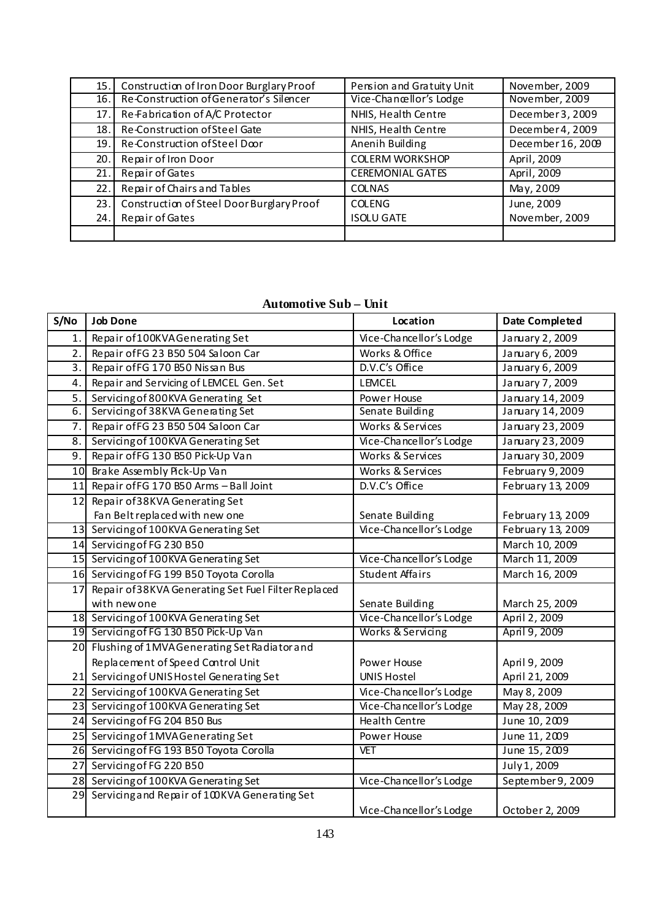| 15.  | Construction of Iron Door Burglary Proof  | Pension and Gratuity Unit | November, 2009    |
|------|-------------------------------------------|---------------------------|-------------------|
| 16.1 | Re-Construction of Generator's Silencer   | Vice-Chancellor's Lodge   | November, 2009    |
| 17.1 | Re-Fabrication of A/C Protector           | NHIS, Health Centre       | December 3, 2009  |
| 18.  | Re-Construction of Steel Gate             | NHIS, Health Centre       | December 4, 2009  |
| 19.1 | Re-Construction of Steel Door             | Anenih Building           | December 16, 2009 |
| 20.1 | Repair of Iron Door                       | <b>COLERM WORKSHOP</b>    | April, 2009       |
| 21.  | Repair of Gates                           | <b>CEREMONIAL GATES</b>   | April, 2009       |
| 22.1 | Repair of Chairs and Tables               | <b>COLNAS</b>             | May, 2009         |
| 23.1 | Construction of Steel Door Burglary Proof | <b>COLENG</b>             | June, 2009        |
| 24.  | Repair of Gates                           | <b>ISOLU GATE</b>         | November, 2009    |
|      |                                           |                           |                   |

# **Automotive Sub – Unit**

| S/No | <b>Job Done</b>                                     | Location                | <b>Date Completed</b> |
|------|-----------------------------------------------------|-------------------------|-----------------------|
| 1.   | Repair of 100KVAGenerating Set                      | Vice-Chancellor's Lodge | January 2, 2009       |
| 2.   | Repair of FG 23 B50 504 Saloon Car                  | Works & Office          | January 6, 2009       |
| 3.   | Repair of FG 170 B50 Nissan Bus                     | D.V.C's Office          | January 6, 2009       |
| 4.   | Repair and Servicing of LEMCEL Gen. Set             | <b>LEMCEL</b>           | January 7, 2009       |
| 5.   | Servicing of 800KVA Generating Set                  | Power House             | January 14, 2009      |
| 6.   | Servicing of 38KVA Generating Set                   | Senate Building         | January 14, 2009      |
| 7.   | Repair of FG 23 B50 504 Saloon Car                  | Works & Services        | January 23, 2009      |
| 8.   | Servicing of 100KVA Generating Set                  | Vice-Chancellor's Lodge | January 23, 2009      |
| 9.1  | Repair of FG 130 B50 Pick-Up Van                    | Works & Services        | January 30, 2009      |
|      | 10 Brake Assembly Pick-Up Van                       | Works & Services        | February 9, 2009      |
|      | 11 Repair of FG 170 B50 Arms - Ball Joint           | D.V.C's Office          | February 13, 2009     |
|      | 12 Repair of 38KVA Generating Set                   |                         |                       |
|      | Fan Belt replaced with new one                      | Senate Building         | February 13, 2009     |
|      | 13 Servicing of 100KVA Generating Set               | Vice-Chancellor's Lodge | February 13, 2009     |
|      | 14 Servicing of FG 230 B50                          |                         | March 10, 2009        |
|      | 15 Servicing of 100KVA Generating Set               | Vice-Chancellor's Lodge | March 11, 2009        |
|      | 16 Servicing of FG 199 B50 Toyota Corolla           | <b>Student Affairs</b>  | March 16, 2009        |
| 17   | Repair of 38KVA Generating Set Fuel Filter Replaced |                         |                       |
|      | with new one                                        | Senate Building         | March 25, 2009        |
|      | 18 Servicing of 100KVA Generating Set               | Vice-Chancellor's Lodge | April 2, 2009         |
|      | 19 Servicing of FG 130 B50 Pick-Up Van              | Works & Servicing       | April 9, 2009         |
|      | 20 Flushing of 1MVAGenerating Set Radiator and      |                         |                       |
|      | Replacement of Speed Control Unit                   | Power House             | April 9, 2009         |
|      | 21 Servicing of UNIS Hostel Generating Set          | <b>UNIS Hostel</b>      | April 21, 2009        |
|      | 22 Servicing of 100KVA Generating Set               | Vice-Chancellor's Lodge | May 8, 2009           |
|      | 23 Servicing of 100KVA Generating Set               | Vice-Chancellor's Lodge | May 28, 2009          |
|      | 24 Servicing of FG 204 B50 Bus                      | Health Centre           | June 10, 2009         |
|      | 25 Servicing of 1MVAGenerating Set                  | Power House             | June 11, 2009         |
|      | 26 Servicing of FG 193 B50 Toyota Corolla           | <b>VET</b>              | June 15, 2009         |
|      | 27 Servicing of FG 220 B50                          |                         | July 1, 2009          |
|      | 28 Servicing of 100KVA Generating Set               | Vice-Chancellor's Lodge | September 9, 2009     |
|      | 29 Servicing and Repair of 100KVA Generating Set    |                         |                       |
|      |                                                     | Vice-Chancellor's Lodge | October 2, 2009       |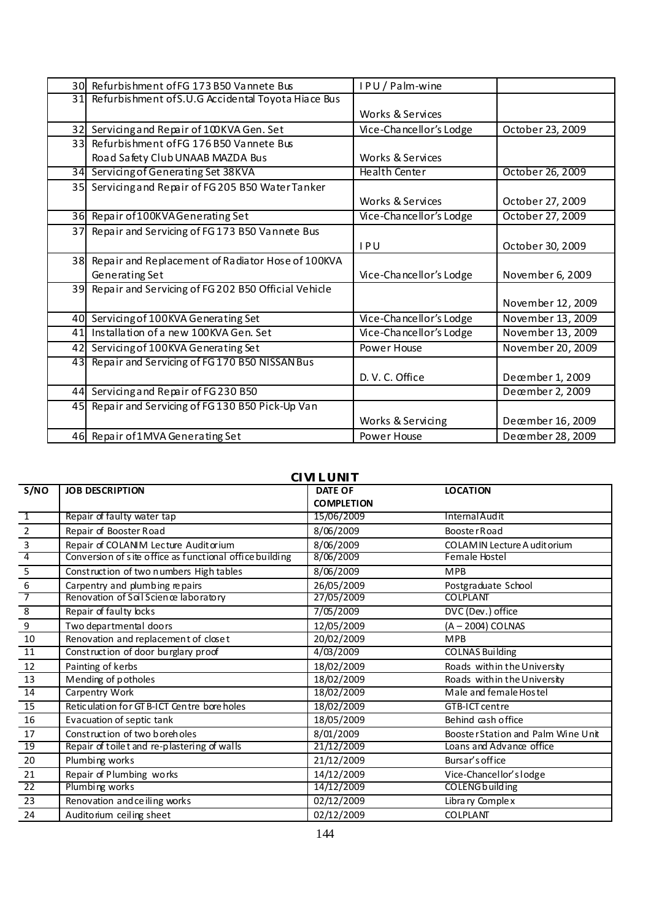|                 | 30 Refurbishment of FG 173 B50 Vannete Bus            | IPU/Palm-wine               |                   |
|-----------------|-------------------------------------------------------|-----------------------------|-------------------|
|                 | 31 Refurbishment of S.U.G Accidental Toyota Hiace Bus |                             |                   |
|                 |                                                       | Works & Services            |                   |
|                 | 32 Servicing and Repair of 100KVA Gen. Set            | Vice-Chancellor's Lodge     | October 23, 2009  |
| 33 <sup>1</sup> | Refurbishment of FG 176 B50 Vannete Bus               |                             |                   |
|                 | Road Safety Club UNAAB MAZDA Bus                      | <b>Works &amp; Services</b> |                   |
| 34              | Servicing of Generating Set 38KVA                     | Health Center               | October 26, 2009  |
|                 | 35 Servicing and Repair of FG 205 B50 Water Tanker    |                             |                   |
|                 |                                                       | Works & Services            | October 27, 2009  |
| 36I             | Repair of 100KVA Generating Set                       | Vice-Chancellor's Lodge     | October 27, 2009  |
| 37              | Repair and Servicing of FG173 B50 Vannete Bus         |                             |                   |
|                 |                                                       | IPU                         | October 30, 2009  |
|                 | 38 Repair and Replacement of Radiator Hose of 100KVA  |                             |                   |
|                 | Generating Set                                        | Vice-Chancellor's Lodge     | November 6, 2009  |
| 39              | Repair and Servicing of FG 202 B50 Official Vehicle   |                             |                   |
|                 |                                                       |                             | November 12, 2009 |
|                 | 40 Servicing of 100KVA Generating Set                 | Vice-Chancellor's Lodge     | November 13, 2009 |
| 41              | Installation of a new 100KVA Gen. Set                 | Vice-Chancellor's Lodge     | November 13, 2009 |
|                 | 42 Servicing of 100KVA Generating Set                 | Power House                 | November 20, 2009 |
| 43I             | Repair and Servicing of FG170 B50 NISSAN Bus          |                             |                   |
|                 |                                                       | D. V. C. Office             | December 1, 2009  |
| 44              | Servicing and Repair of FG 230 B50                    |                             | December 2, 2009  |
|                 | 45 Repair and Servicing of FG 130 B50 Pick-Up Van     |                             |                   |
|                 |                                                       | Works & Servicing           | Deœmber 16, 2009  |
|                 | 46 Repair of 1 MVA Generating Set                     | Power House                 | December 28, 2009 |

#### **CIVIL UNIT**

| S/NO                    | <b>JOB DESCRIPTION</b>                                  | <b>DATE OF</b>    | <b>LOCATION</b>                    |
|-------------------------|---------------------------------------------------------|-------------------|------------------------------------|
|                         |                                                         | <b>COMPLETION</b> |                                    |
| $\overline{1}$          | Repair of faulty water tap                              | 15/06/2009        | InternalAudit                      |
| $\overline{2}$          | Repair of Booster Road                                  | 8/06/2009         | <b>BoosterRoad</b>                 |
| 3                       | Repair of COLANIM Lecture Auditorium                    | 8/06/2009         | COLAMIN Lecture A udit orium       |
| $\overline{4}$          | Conversion of site office as functional office building | 8/06/2009         | Female Hostel                      |
| $\overline{5}$          | Construction of two numbers High tables                 | 8/06/2009         | <b>MPB</b>                         |
| $\boldsymbol{6}$        | Carpentry and plumbing repairs                          | 26/05/2009        | Postgraduate School                |
| 7                       | Renovation of Soil Science laboratory                   | 27/05/2009        | <b>COLPLANT</b>                    |
| $\overline{\mathbf{8}}$ | Repair of faulty locks                                  | 7/05/2009         | DVC (Dev.) office                  |
| $\boldsymbol{9}$        | Two departmental doors                                  | 12/05/2009        | $(A - 2004)$ COLNAS                |
| 10                      | Renovation and replacement of closet                    | 20/02/2009        | <b>MPB</b>                         |
| 11                      | Construction of door burglary proof                     | 4/03/2009         | <b>COLNAS Building</b>             |
| 12                      | Painting of kerbs                                       | 18/02/2009        | Roads with in the University       |
| 13                      | Mending of potholes                                     | 18/02/2009        | Roads with in the University       |
| 14                      | Carpentry Work                                          | 18/02/2009        | Male and female Hostel             |
| 15                      | Reticulation for GT B-ICT Centre bore holes             | 18/02/2009        | GTB-ICT centre                     |
| 16                      | Evacuation of septic tank                               | 18/05/2009        | Behind cash office                 |
| 17                      | Construction of two boreholes                           | 8/01/2009         | Booster Station and Palm Wine Unit |
| 19                      | Repair of toilet and re-plastering of walls             | 21/12/2009        | Loans and Advance office           |
| 20                      | Plumbing works                                          | 21/12/2009        | Bursar's office                    |
| 21                      | Repair of Plumbing works                                | 14/12/2009        | Vice-Chancellor's lodge            |
| 22                      | Plumbing works                                          | 14/12/2009        | <b>COLENG</b> building             |
| 23                      | Renovation and ceiling works                            | 02/12/2009        | Libra ry Comple x                  |
| 24                      | Audito rium ceiling sheet                               | 02/12/2009        | COLPLANT                           |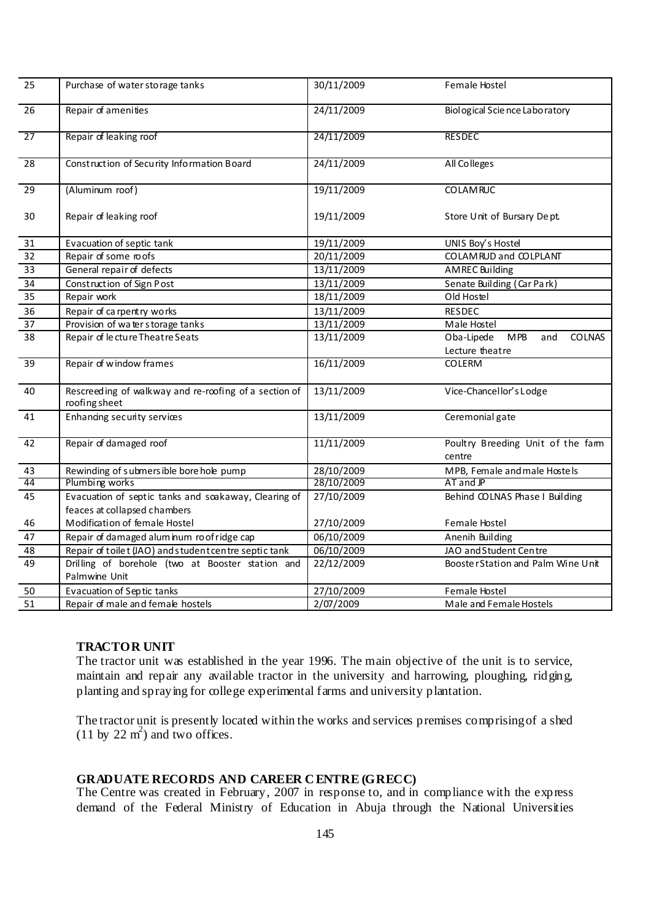| 25              | Purchase of water storage tanks                                                      | 30/11/2009 | Female Hostel                                                |
|-----------------|--------------------------------------------------------------------------------------|------------|--------------------------------------------------------------|
| 26              | Repair of amenities                                                                  | 24/11/2009 | Biological Science Laboratory                                |
| 27              | Repair of leaking roof                                                               | 24/11/2009 | <b>RESDEC</b>                                                |
| 28              | Construction of Security Information Board                                           | 24/11/2009 | All Colleges                                                 |
| 29              | (Aluminum roof)                                                                      | 19/11/2009 | <b>COLAMRUC</b>                                              |
| 30              | Repair of leaking roof                                                               | 19/11/2009 | Store Unit of Bursary Dept.                                  |
| 31              | Evacuation of septic tank                                                            | 19/11/2009 | UNIS Boy's Hostel                                            |
| 32              | Repair of some roofs                                                                 | 20/11/2009 | COLAMRUD and COLPLANT                                        |
| 33              | General repair of defects                                                            | 13/11/2009 | <b>AMREC Building</b>                                        |
| $\overline{34}$ | Construction of Sign Post                                                            | 13/11/2009 | Senate Building (Car Park)                                   |
| 35              | Repair work                                                                          | 18/11/2009 | Old Hostel                                                   |
| 36              | Repair of carpentry works                                                            | 13/11/2009 | <b>RESDEC</b>                                                |
| 37              | Provision of water storage tanks                                                     | 13/11/2009 | Male Hostel                                                  |
| 38              | Repair of lecture Theatre Seats                                                      | 13/11/2009 | Oba-Lipede<br>MPB<br><b>COLNAS</b><br>and<br>Lecture theatre |
| 39              | Repair of window frames                                                              | 16/11/2009 | <b>COLERM</b>                                                |
| 40              | Rescreeding of walkway and re-roofing of a section of<br>roofing sheet               | 13/11/2009 | Vice-Chancellor's Lodge                                      |
| 41              | Enhandng security services                                                           | 13/11/2009 | Ceremonial gate                                              |
| 42              | Repair of damaged roof                                                               | 11/11/2009 | Poultry Breeding Unit of the fam<br>centre                   |
| 43              | Rewinding of submersible bore hole pump                                              | 28/10/2009 | MPB, Female and male Hostels                                 |
| 44              | Plumbing works                                                                       | 28/10/2009 | AT and JP                                                    |
| 45              | Evacuation of septic tanks and soakaway, Clearing of<br>feaces at collapsed chambers | 27/10/2009 | Behind COLNAS Phase I Building                               |
| 46              | Modification of female Hostel                                                        | 27/10/2009 | Female Hostel                                                |
| 47              | Repair of damaged alum inum ro of ridge cap                                          | 06/10/2009 | Anenih Building                                              |
| 48              | Repair of toilet (JAO) and student centre septic tank                                | 06/10/2009 | JAO and Student Centre                                       |
| 49              | Drilling of borehole (two at Booster station and<br>Palmwine Unit                    | 22/12/2009 | Booster Station and Palm Wine Unit                           |
| 50              | Evacuation of Septic tanks                                                           | 27/10/2009 | Female Hostel                                                |
| 51              | Repair of male and female hostels                                                    | 2/07/2009  | Male and Female Hostels                                      |

## **TRACTOR UNIT**

The tractor unit was established in the year 1996. The main objective of the unit is to service, maintain and repair any available tractor in the university and harrowing, ploughing, ridging, planting and spraying for college experimental farms and university plantation.

The tractor unit is presently located within the works and services premises comprising of a shed  $(11 \text{ by } 22 \text{ m}^2)$  and two offices.

# **GRADUATE RECORDS AND CAREER C ENTRE (GRECC)**

The Centre was created in February, 2007 in response to, and in compliance with the express demand of the Federal Ministry of Education in Abuja through the National Universities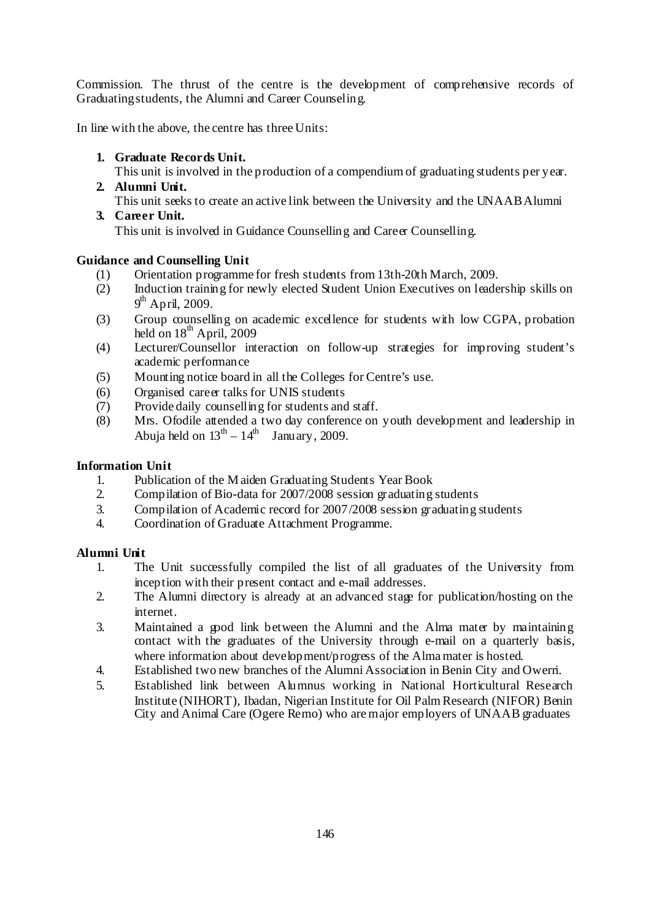Commission. The thrust of the centre is the development of comprehensive records of Graduating students, the Alumni and Career Counseling.

In line with the above, the centre has three Units:

**1. Graduate Records Unit.** 

This unit is involved in the production of a compendium of graduating students per year.

**2. Alumni Unit.**  This unit seeks to create an active link between the University and the UNAAB Alumni **3. Career Unit.** 

This unit is involved in Guidance Counselling and Career Counselling.

# **Guidance and Counselling Unit**

- (1) Orientation programme for fresh students from 13th-20th March, 2009.
- (2) Induction training for newly elected Student Union Executives on leadership skills on 9<sup>th</sup> April, 2009.
- (3) Group counselling on academic excellence for students with low CGPA, probation held on  $18^{th}$  April, 2009
- (4) Lecturer/Counsellor interaction on follow-up strategies for improving student's academic performance
- (5) Mounting notice board in all the Colleges for Centre's use.
- (6) Organised career talks for UNIS students
- (7) Provide daily counselling for students and staff.
- (8) Mrs. Ofodile attended a two day conference on youth development and leadership in Abuja held on  $13^{th} - 14^{th}$  January, 2009.

# **Information Unit**

- 1. Publication of the M aiden Graduating Students Year Book
- 2. Compilation of Bio-data for 2007/2008 session graduating students
- 3. Compilation of Academic record for 2007/2008 session graduating students
- 4. Coordination of Graduate Attachment Programme.

## **Alumni Unit**

- 1. The Unit successfully compiled the list of all graduates of the University from inception with their present contact and e-mail addresses.
- 2. The Alumni directory is already at an advanced stage for publication/hosting on the internet.
- 3. Maintained a good link between the Alumni and the Alma mater by maintaining contact with the graduates of the University through e-mail on a quarterly basis, where information about development/progress of the Alma mater is hosted.
- 4. Established two new branches of the Alumni Association in Benin City and Owerri.
- 5. Established link between Alumnus working in National Horticultural Research Institute (NIHORT), Ibadan, Nigerian Institute for Oil Palm Research (NIFOR) Benin City and Animal Care (Ogere Remo) who are major employers of UNAAB graduates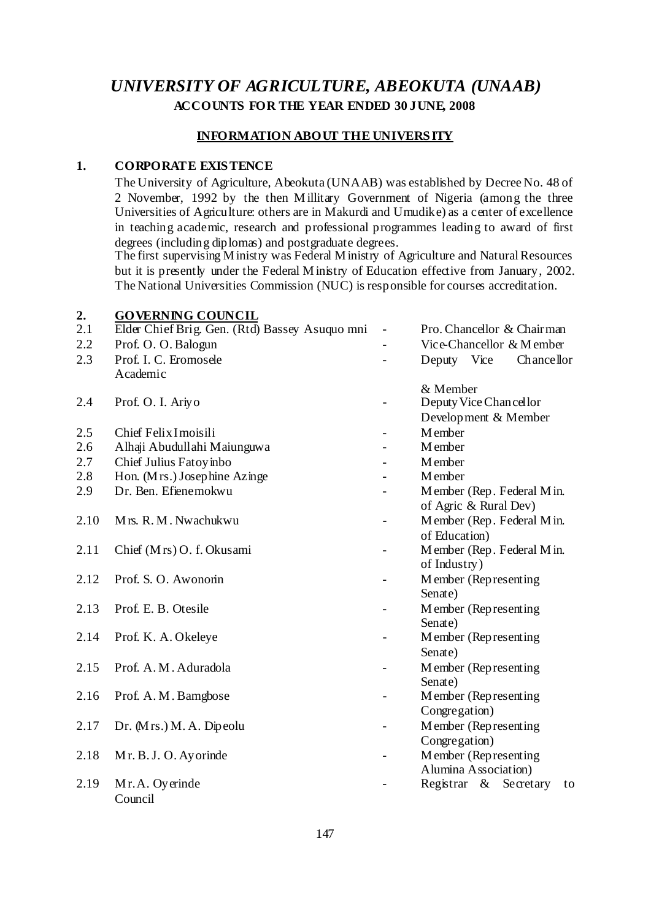# *UNIVERSITY OF AGRICULTURE, ABEOKUTA (UNAAB)*  **ACCOUNTS FOR THE YEAR ENDED 30 JUNE, 2008**

#### **INFORMATION ABOUT THE UNIVERS ITY**

### **1. CORPORATE EXIS TENCE**

 The University of Agriculture, Abeokuta (UNAAB) was established by Decree No. 48 of 2 November, 1992 by the then Millitary Government of Nigeria (among the three Universities of Agriculture: others are in Makurdi and Umudike) as a center of excellence in teaching academic, research and professional programmes leading to award of first degrees (including diplomas) and postgraduate degrees.

 The first supervising M inistry was Federal M inistry of Agriculture and Natural Resources but it is presently under the Federal M inistry of Education effective from January, 2002. The National Universities Commission (NUC) is responsible for courses accreditation.

#### **2. GOVERNING COUNCIL**

| 2.1  | Elder Chief Brig. Gen. (Rtd) Bassey Asuquo mni | $\overline{a}$           | Pro. Chancellor & Chairman  |
|------|------------------------------------------------|--------------------------|-----------------------------|
| 2.2  | Prof. O. O. Balogun                            |                          | Vice-Chancellor & Member    |
| 2.3  | Prof. I. C. Eromosele                          |                          | Deputy Vice<br>Chancellor   |
|      | Academic                                       |                          |                             |
|      |                                                |                          | & Member                    |
| 2.4  | Prof. O. I. Ariyo                              |                          | Deputy Vice Chancellor      |
|      |                                                |                          | Development & Member        |
| 2.5  | Chief Felix I moisili                          | ÷                        | <b>M</b> ember              |
| 2.6  | Alhaji Abudullahi Maiunguwa                    |                          | M ember                     |
| 2.7  | Chief Julius Fatoy inbo                        |                          | M ember                     |
| 2.8  | Hon. (Mrs.) Josephine Azinge                   |                          | M ember                     |
| 2.9  | Dr. Ben. Efiene mokwu                          |                          | Member (Rep. Federal Min.   |
|      |                                                |                          | of Agric & Rural Dev)       |
| 2.10 | Mrs. R. M. Nwachukwu                           | -                        | Member (Rep. Federal Min.   |
|      |                                                |                          | of Education)               |
| 2.11 | Chief (Mrs) O. f. Okusami                      | $\blacksquare$           | Member (Rep. Federal Min.   |
|      |                                                |                          | of Industry)                |
| 2.12 | Prof. S. O. Awonorin                           |                          | Member (Representing        |
|      |                                                |                          | Senate)                     |
| 2.13 | Prof. E. B. Otesile                            | $\overline{\phantom{0}}$ | Member (Representing        |
|      |                                                |                          | Senate)                     |
| 2.14 | Prof. K. A. Okeleye                            |                          | Member (Representing)       |
|      |                                                |                          | Senate)                     |
| 2.15 | Prof. A. M. Aduradola                          |                          | Member (Representing        |
|      |                                                |                          | Senate)                     |
| 2.16 | Prof. A. M. Bamgbose                           | -                        | Member (Representing        |
|      |                                                |                          | Congregation)               |
| 2.17 | Dr. (Mrs.) M. A. Dipeolu                       | $\overline{\phantom{0}}$ | Member (Representing        |
|      |                                                |                          | Congregation)               |
| 2.18 | Mr. B. J. O. Ayorinde                          | $\overline{\phantom{a}}$ | Member (Representing        |
|      |                                                |                          | Alumina Association)        |
| 2.19 | Mr.A. Oyerinde                                 |                          | Registrar & Secretary<br>to |
|      | Council                                        |                          |                             |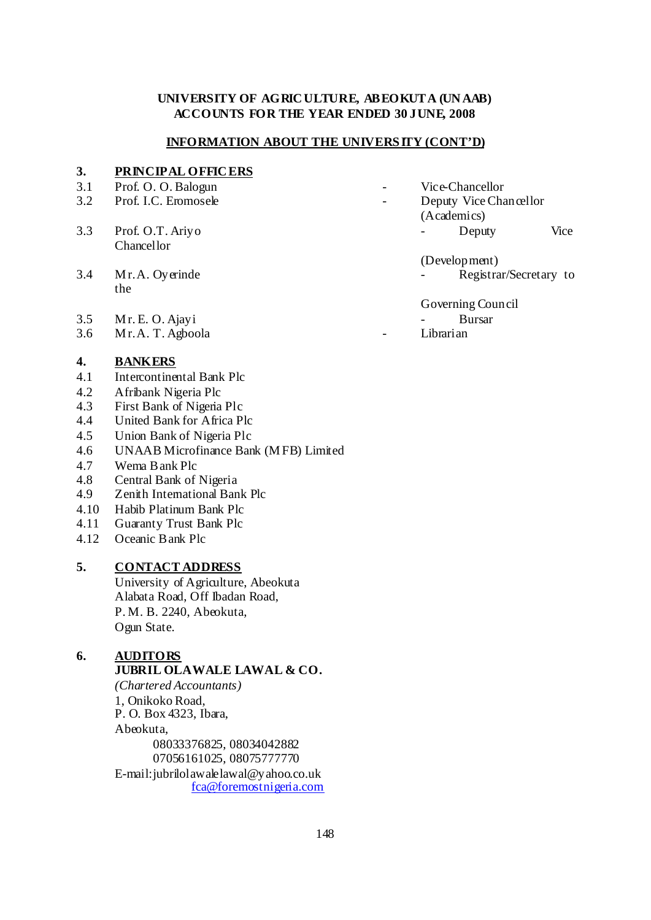### **UNIVERSITY OF AGRIC ULTURE, ABEOKUTA (UN AAB) ACCOUNTS FOR THE YEAR ENDED 30 JUNE, 2008**

#### **INFORMATION ABOUT THE UNIVERS ITY (CONT'D)**

#### **3. PRINCIPAL OFFIC ERS**

- 
- 
- Chancellor
- the
- 3.5 M r. E. O. Ajayi Bursar
- 3.6 M r. A. T. Agboola Librarian

#### **4. BANKERS**

- 4.1 Intercontinental Bank Plc
- 4.2 Afribank Nigeria Plc
- 4.3 First Bank of Nigeria Plc
- 4.4 United Bank for Africa Plc
- 4.5 Union Bank of Nigeria Plc
- 4.6 UNAAB Microfinance Bank (M FB) Limited
- 4.7 Wema Bank Plc
- 4.8 Central Bank of Nigeria
- 4.9 Zenith International Bank Plc
- 4.10 Habib Platinum Bank Plc
- 4.11 Guaranty Trust Bank Plc
- 4.12 Oceanic Bank Plc

# **5. CONTACT ADDRESS**

 University of Agriculture, Abeokuta Alabata Road, Off Ibadan Road, P. M. B. 2240, Abeokuta, Ogun State.

# **6. AUDITORS**

# **JUBRIL OLAWALE LAWAL & CO.**

*(Chartered Accountants)* 1, Onikoko Road, P. O. Box 4323, Ibara, Abeokuta, 08033376825, 08034042882 07056161025, 08075777770 E-mail:jubrilolawalelawal@yahoo.co.uk fca@foremostnigeria.com

- 3.1 Prof. O. O. Balogun Vice-Chancellor
- 3.2 Prof. I.C. Eromosele Deputy Vice Chancellor (Academics)
- 3.3 Prof. O.T. Ariyo Deputy Vice
- (Development) 3.4 M r. A. Oyerinde Figure 2.4 Registrar/Secretary to

Governing Council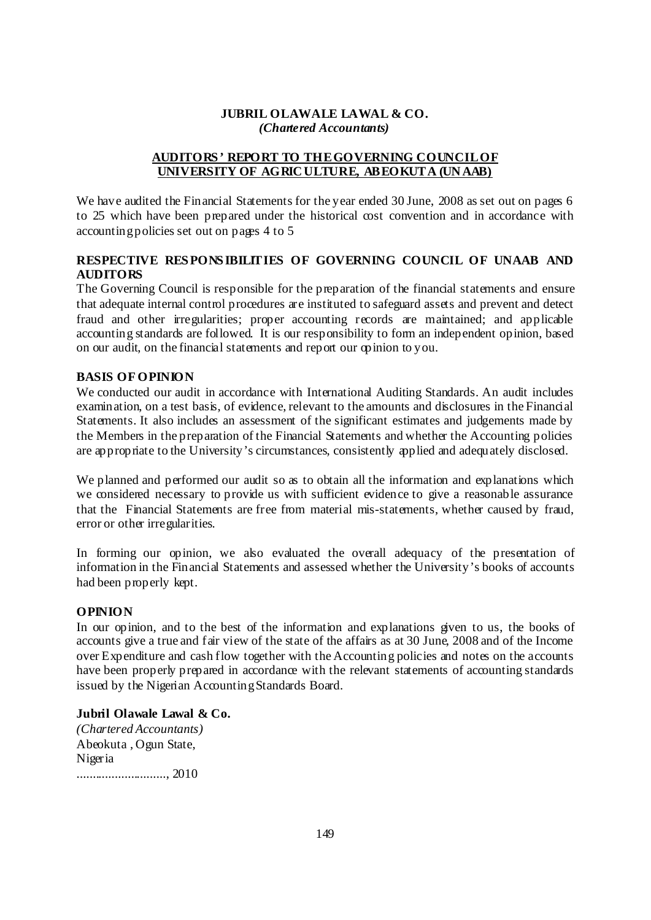#### **JUBRIL OLAWALE LAWAL & CO.**  *(Chartered Accountants)*

# **AUDITORS ' REPORT TO THE GOVERNING COUNCIL OF UNIVERSITY OF AGRIC ULTURE, ABEOKUTA (UN AAB)**

We have audited the Financial Statements for the year ended 30 June, 2008 as set out on pages 6 to 25 which have been prepared under the historical cost convention and in accordance with accounting policies set out on pages 4 to 5

# **RESPECTIVE RES PONS IBILITIES OF GOVERNING COUNCIL OF UNAAB AND AUDITORS**

The Governing Council is responsible for the preparation of the financial statements and ensure that adequate internal control procedures are instituted to safeguard assets and prevent and detect fraud and other irregularities; proper accounting records are maintained; and applicable accounting standards are followed. It is our responsibility to form an independent opinion, based on our audit, on the financial statements and report our opinion to you.

## **BASIS OF OPINION**

We conducted our audit in accordance with International Auditing Standards. An audit includes examination, on a test basis, of evidence, relevant to the amounts and disclosures in the Financial Statements. It also includes an assessment of the significant estimates and judgements made by the Members in the preparation of the Financial Statements and whether the Accounting policies are appropriate to the University's circumstances, consistently applied and adequately disclosed.

We planned and performed our audit so as to obtain all the information and explanations which we considered necessary to provide us with sufficient evidence to give a reasonable assurance that the Financial Statements are free from material mis-statements, whether caused by fraud, error or other irregularities.

In forming our opinion, we also evaluated the overall adequacy of the presentation of information in the Financial Statements and assessed whether the University's books of accounts had been properly kept.

## **OPINION**

In our opinion, and to the best of the information and explanations given to us, the books of accounts give a true and fair view of the state of the affairs as at 30 June, 2008 and of the Income over Expenditure and cash flow together with the Accounting policies and notes on the accounts have been properly prepared in accordance with the relevant statements of accounting standards issued by the Nigerian Accounting Standards Board.

# **Jubril Olawale Lawal & Co.**

*(Chartered Accountants)* Abeokuta , Ogun State, Nigeria ............................, 2010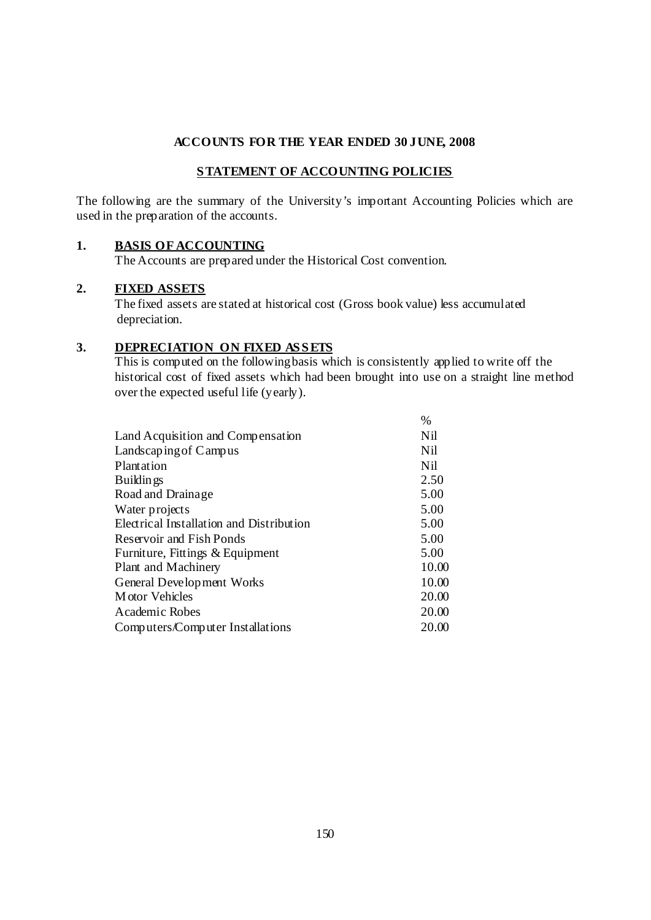## **S TATEMENT OF ACCOUNTING POLICIES**

The following are the summary of the University's important Accounting Policies which are used in the preparation of the accounts.

#### **1. BASIS OF ACCOUNTING**

The Accounts are prepared under the Historical Cost convention.

#### **2. FIXED ASSETS**

 The fixed assets are stated at historical cost (Gross book value) less accumulated depreciation.

### 3. DEPRECIATION ON FIXED ASSETS

 This is computed on the following basis which is consistently applied to write off the historical cost of fixed assets which had been brought into use on a straight line method over the expected useful life (yearly).

|                                          | $\%$            |
|------------------------------------------|-----------------|
| Land Acquisition and Compensation        | N <sub>il</sub> |
| Landscaping of Campus                    | N <sub>il</sub> |
| Plantation                               | N <sub>il</sub> |
| Buildings                                | 2.50            |
| Road and Drainage                        | 5.00            |
| Water projects                           | 5.00            |
| Electrical Installation and Distribution | 5.00            |
| Reservoir and Fish Ponds                 | 5.00            |
| Furniture, Fittings & Equipment          | 5.00            |
| Plant and Machinery                      | 10.00           |
| General Development Works                | 10.00           |
| M otor Vehicles                          | 20.00           |
| Academic Robes                           | 20.00           |
| Computers/Computer Installations         | 20.00           |
|                                          |                 |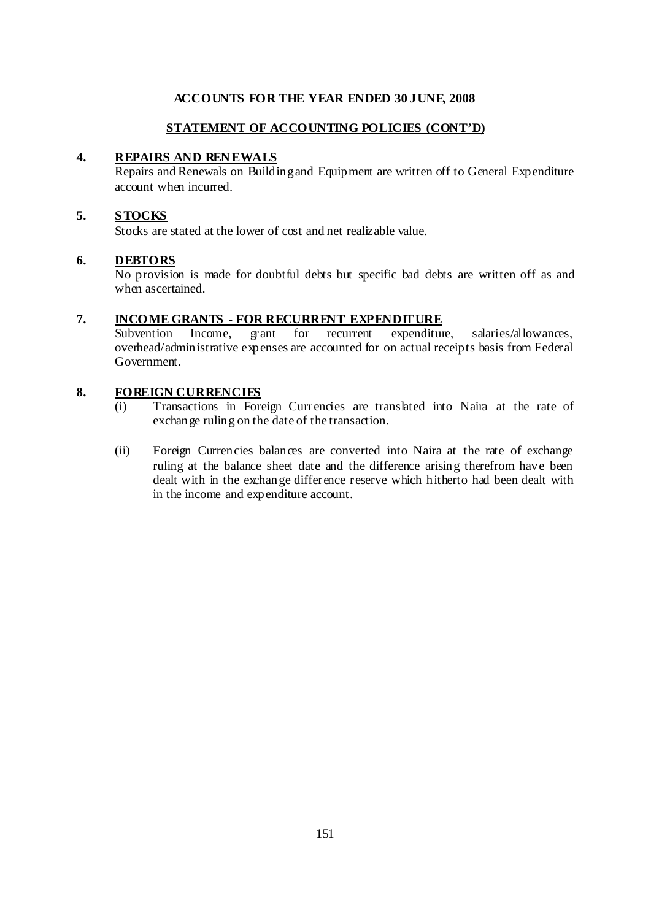# **STATEMENT OF ACCOUNTING POLICIES (CONT'D)**

### **4. REPAIRS AND REN EWALS**

Repairs and Renewals on Building and Equipment are written off to General Expenditure account when incurred.

#### **5. S TOCKS**

Stocks are stated at the lower of cost and net realizable value.

#### **6. DEBTORS**

No provision is made for doubtful debts but specific bad debts are written off as and when ascertained.

#### **7. INCOME GRANTS - FOR RECURRENT EXPENDITURE**

Subvention Income, grant for recurrent expenditure, salaries/allowances, overhead/administrative expenses are accounted for on actual receipts basis from Federal Government.

#### **8. FOREIGN CURRENCIES**

- (i) Transactions in Foreign Currencies are translated into Naira at the rate of exchange ruling on the date of the transaction.
- (ii) Foreign Currencies balances are converted into Naira at the rate of exchange ruling at the balance sheet date and the difference arising therefrom have been dealt with in the exchange difference reserve which hitherto had been dealt with in the income and expenditure account.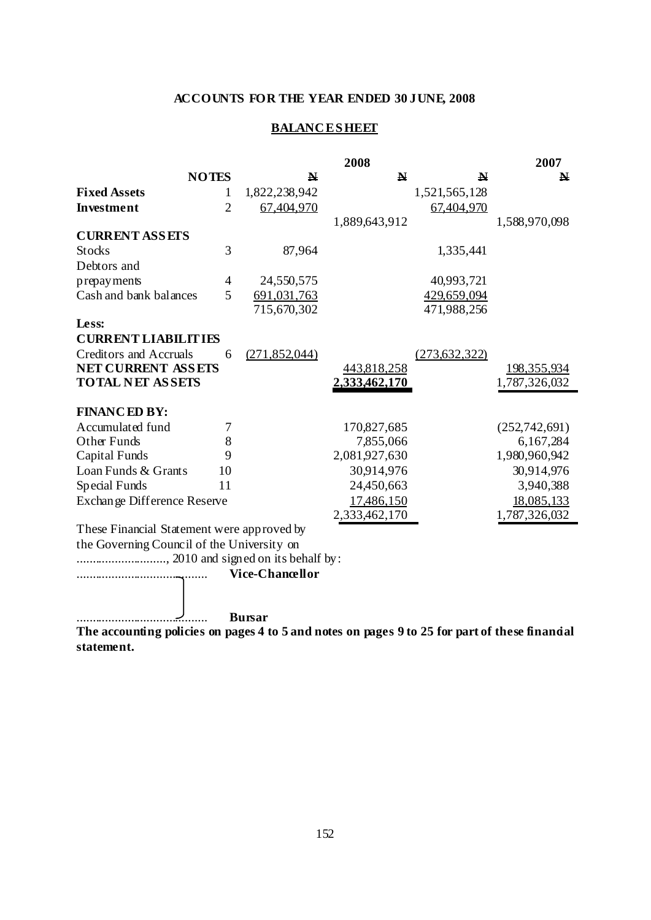# **BALANCESHEET**

|                                            |                |                        | 2008          |                 | 2007               |
|--------------------------------------------|----------------|------------------------|---------------|-----------------|--------------------|
|                                            | <b>NOTES</b>   | N                      | $\mathbf{N}$  | N               | N                  |
| <b>Fixed Assets</b>                        | 1              | 1,822,238,942          |               | 1,521,565,128   |                    |
| <b>Investment</b>                          | $\overline{2}$ | 67.404.970             |               | 67.404.970      |                    |
|                                            |                |                        | 1,889,643,912 |                 | 1,588,970,098      |
| <b>CURRENT ASSETS</b>                      |                |                        |               |                 |                    |
| <b>Stocks</b>                              | 3              | 87,964                 |               | 1,335,441       |                    |
| Debtors and                                |                |                        |               |                 |                    |
| prepay ments                               | 4              | 24,550,575             |               | 40,993,721      |                    |
| Cash and bank balances                     | 5              | 691,031,763            |               | 429,659,094     |                    |
|                                            |                | 715,670,302            |               | 471,988,256     |                    |
| Less:                                      |                |                        |               |                 |                    |
| <b>CURRENT LIABILITIES</b>                 |                |                        |               |                 |                    |
| <b>Creditors and Accruals</b>              | 6              | (271, 852, 044)        |               | (273, 632, 322) |                    |
| <b>NET CURRENT ASSETS</b>                  |                |                        | 443,818,258   |                 | <u>198,355,934</u> |
| <b>TOTAL NET ASSETS</b>                    |                |                        | 2,333,462,170 |                 | 1,787,326,032      |
|                                            |                |                        |               |                 |                    |
| <b>FINANCED BY:</b>                        |                |                        |               |                 |                    |
| Accumulated fund                           | 7              |                        | 170,827,685   |                 | (252, 742, 691)    |
| Other Funds                                | 8              |                        | 7,855,066     |                 | 6,167,284          |
| Capital Funds                              | 9              |                        | 2,081,927,630 |                 | 1,980,960,942      |
| Loan Funds & Grants                        | 10             |                        | 30,914,976    |                 | 30,914,976         |
| Special Funds                              | 11             |                        | 24,450,663    |                 | 3,940,388          |
| Exchange Difference Reserve                |                |                        | 17,486,150    |                 | 18,085,133         |
|                                            |                |                        | 2,333,462,170 |                 | 1,787,326,032      |
| These Financial Statement were approved by |                |                        |               |                 |                    |
| the Governing Council of the University on |                |                        |               |                 |                    |
|                                            |                |                        |               |                 |                    |
|                                            |                | <b>Vice-Chancellor</b> |               |                 |                    |
|                                            |                |                        |               |                 |                    |
|                                            |                |                        |               |                 |                    |
|                                            |                | <b>Bursar</b>          |               |                 |                    |

**The accounting policies on pages 4 to 5 and notes on pages 9 to 25 for part of these financial statement.**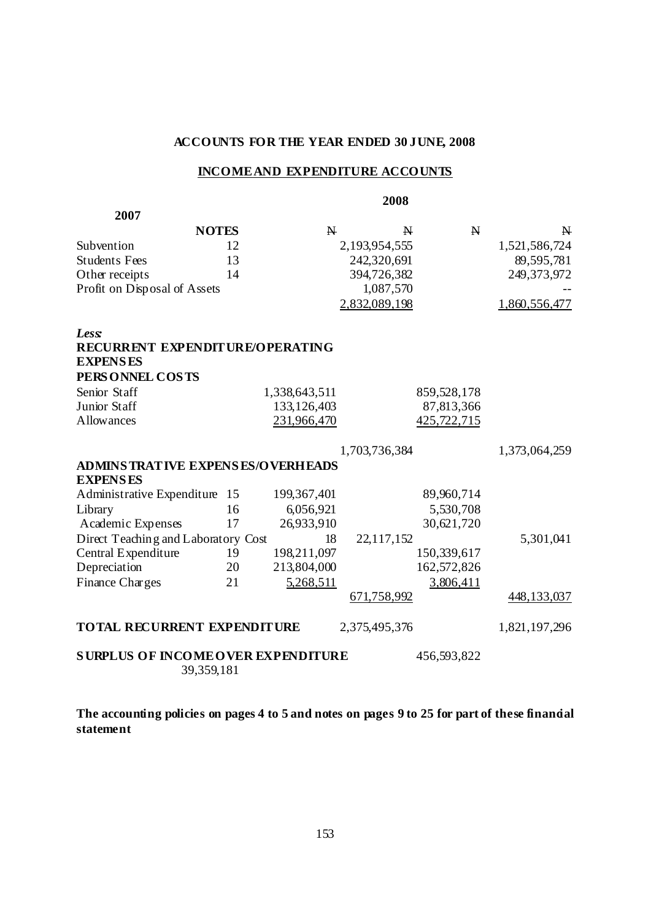#### **INCOME AND EXPENDITURE ACCOUNTS**

 **2008 2007** NOTES N N N N Subvention 12 2,193,954,555 1,521,586,724 Students Fees 13 242,320,691 89,595,781 Other receipts 14 394,726,382 249,373,972 Profit on Disposal of Assets 1,087,570 2,832,089,198 1,860,556,477 *Less:* **RECURRENT EXPENDITURE/OPERATING EXPENS ES PERS ONNEL COS TS**  Senior Staff 1,338,643,511 859,528,178 Junior Staff 133,126,403 87,813,366 Allowances 231,966,470 425,722,715 1,703,736,384 1,373,064,259 **ADMINS TRATIVE EXPENS ES/OVERHEADS EXPENS ES**  Administrative Expenditure 15 199,367,401 89,960,714 Library 16 6,056,921 5,530,708 Academic Expenses 17 26,933,910 30,621,720 Direct Teaching and Laboratory Cost 18 22,117,152 5,301,041 Central Expenditure 19 198,211,097 150,339,617 Depreciation 20 213,804,000 162,572,826 Finance Charges 21 5,268,511 3,806,411 671,758,992 448,133,037 **TOTAL RECURRENT EXPENDITURE** 2,375,495,376 1,821,197,296 **SURPLUS OF INCOME OVER EXPENDITURE** 456,593,822 39,359,181

**The accounting policies on pages 4 to 5 and notes on pages 9 to 25 for part of these financial statement**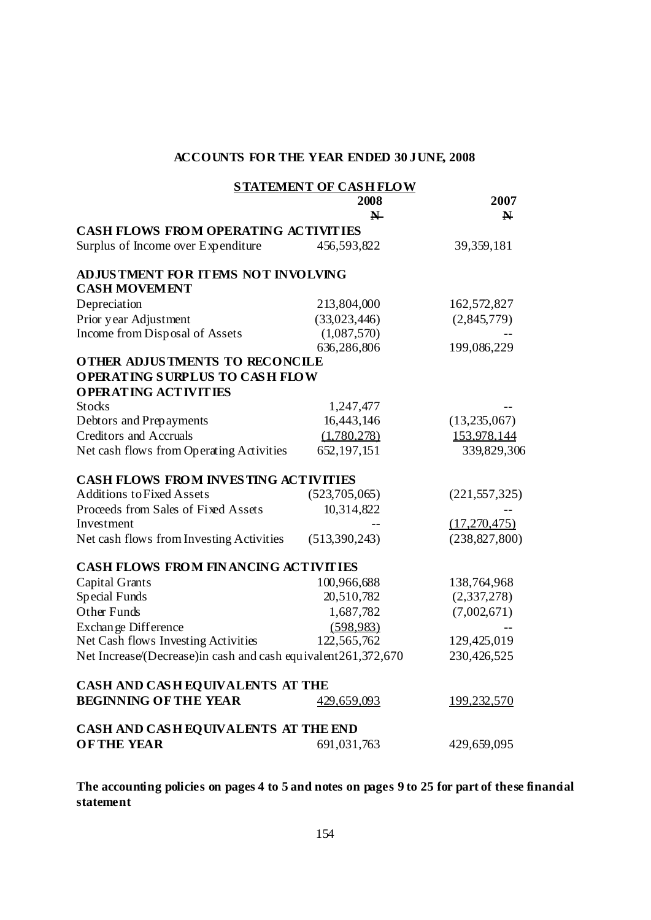|                                                                | <b>STATEMENT OF CASH FLOW</b><br>2008 | 2007               |
|----------------------------------------------------------------|---------------------------------------|--------------------|
|                                                                | $\blacktriangleright$                 | N                  |
| <b>CASH FLOWS FROM OPERATING ACTIVITIES</b>                    |                                       |                    |
| Surplus of Income over Expenditure                             | 456,593,822                           | 39, 359, 181       |
| ADJUSTMENT FOR ITEMS NOT INVOLVING<br><b>CASH MOVEMENT</b>     |                                       |                    |
| Depreciation                                                   | 213,804,000                           | 162,572,827        |
| Prior year Adjustment                                          | (33,023,446)                          | (2,845,779)        |
| Income from Disposal of Assets                                 | (1,087,570)                           |                    |
|                                                                | 636,286,806                           | 199,086,229        |
| <b>OTHER ADJUSTMENTS TO RECONCILE</b>                          |                                       |                    |
| <b>OPERATING SURPLUS TO CASH FLOW</b>                          |                                       |                    |
| <b>OPERATING ACTIVITIES</b>                                    |                                       |                    |
| <b>Stocks</b>                                                  | 1,247,477                             |                    |
| Debtors and Prepayments                                        | 16,443,146                            | (13,235,067)       |
| <b>Creditors and Accruals</b>                                  | (1.780.278)                           | 153.978.144        |
| Net cash flows from Operating Activities                       | 652, 197, 151                         | 339,829,306        |
| <b>CASH FLOWS FROM INVESTING ACTIVITIES</b>                    |                                       |                    |
| <b>Additions to Fixed Assets</b>                               | (523,705,065)                         | (221, 557, 325)    |
| Proceeds from Sales of Fixed Assets                            | 10,314,822                            |                    |
| Investment                                                     |                                       | (17,270,475)       |
| Net cash flows from Investing Activities                       | (513,390,243)                         | (238, 827, 800)    |
| <b>CASH FLOWS FROM FINANCING ACTIVITIES</b>                    |                                       |                    |
| Capital Grants                                                 | 100,966,688                           | 138,764,968        |
| Special Funds                                                  | 20,510,782                            | (2,337,278)        |
| Other Funds                                                    | 1,687,782                             | (7,002,671)        |
| Exchange Difference                                            | (598.983)                             |                    |
| Net Cash flows Investing Activities                            | 122,565,762                           | 129,425,019        |
| Net Increase/(Decrease)in cash and cash equivalent 261,372,670 |                                       | 230,426,525        |
| CASH AND CASH EQUIVALENTS AT THE                               |                                       |                    |
| <b>BEGINNING OF THE YEAR</b>                                   | <u>429,659,093</u>                    | <u>199,232,570</u> |
| CASH AND CASH EQUIVALENTS AT THE END                           |                                       |                    |
| <b>OFTHE YEAR</b>                                              | 691,031,763                           | 429,659,095        |

**The accounting policies on pages 4 to 5 and notes on pages 9 to 25 for part of these financial statement**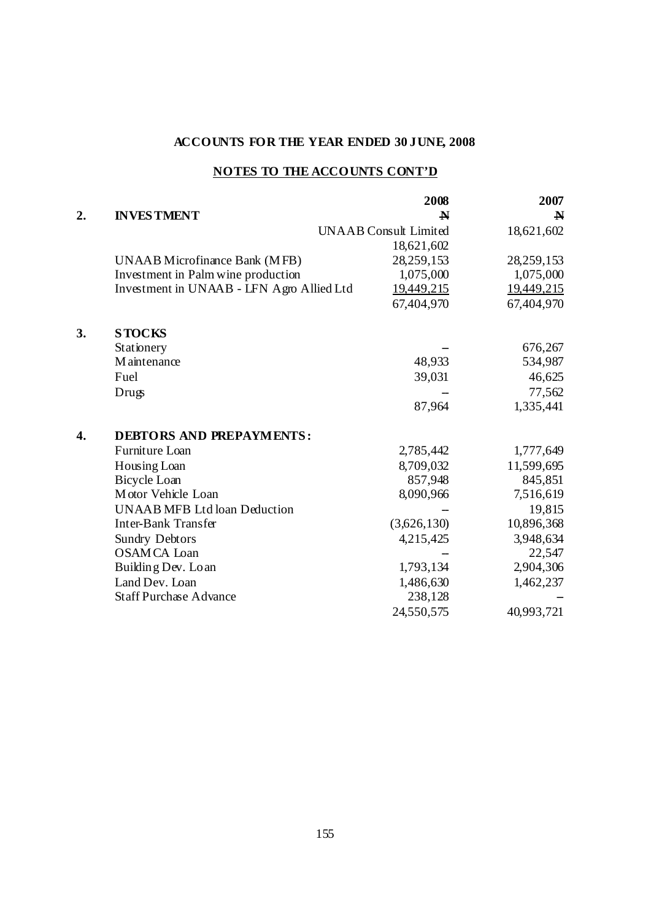# **NOTES TO THE ACCOUNTS CONT'D**

|    |                                           | 2008                         | 2007        |
|----|-------------------------------------------|------------------------------|-------------|
| 2. | <b>INVESTMENT</b>                         | $\mathbf N$                  | $\mathbf N$ |
|    |                                           | <b>UNAAB</b> Consult Limited | 18,621,602  |
|    |                                           | 18,621,602                   |             |
|    | <b>UNAAB</b> Microfinance Bank (MFB)      | 28,259,153                   | 28,259,153  |
|    | Investment in Palm wine production        | 1,075,000                    | 1,075,000   |
|    | Investment in UNAAB - LFN Agro Allied Ltd | 19,449,215                   | 19,449,215  |
|    |                                           | 67,404,970                   | 67,404,970  |
| 3. | <b>STOCKS</b>                             |                              |             |
|    | Stationery                                |                              | 676,267     |
|    | M aintenance                              | 48,933                       | 534,987     |
|    | Fuel                                      | 39,031                       | 46,625      |
|    | Drugs                                     |                              | 77,562      |
|    |                                           | 87,964                       | 1,335,441   |
| 4. | <b>DEBTORS AND PREPAYMENTS:</b>           |                              |             |
|    | Furniture Loan                            | 2,785,442                    | 1,777,649   |
|    | Housing Loan                              | 8,709,032                    | 11,599,695  |
|    | <b>Bicycle Loan</b>                       | 857,948                      | 845,851     |
|    | Motor Vehicle Loan                        | 8,090,966                    | 7,516,619   |
|    | <b>UNAAB MFB Ltd loan Deduction</b>       |                              | 19,815      |
|    | <b>Inter-Bank Transfer</b>                | (3,626,130)                  | 10,896,368  |
|    | <b>Sundry Debtors</b>                     | 4,215,425                    | 3,948,634   |
|    | <b>OSAMCA</b> Loan                        |                              | 22,547      |
|    | Building Dev. Loan                        | 1,793,134                    | 2,904,306   |
|    | Land Dev. Loan                            | 1,486,630                    | 1,462,237   |
|    | <b>Staff Purchase Advance</b>             | 238,128                      |             |
|    |                                           | 24,550,575                   | 40,993,721  |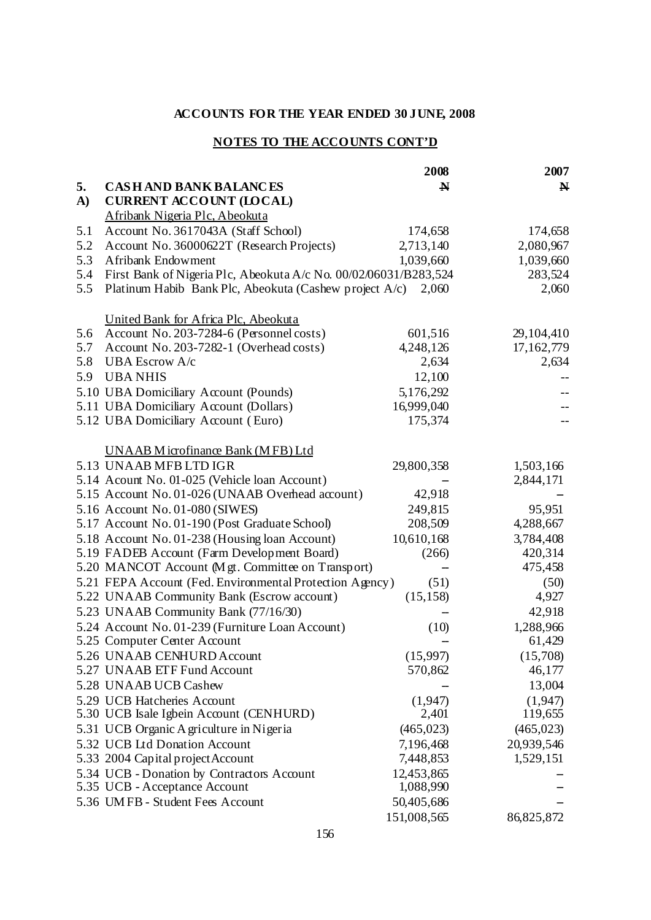# **NOTES TO THE ACCOUNTS CONT'D**

|     |                                                                  | 2008        | 2007         |
|-----|------------------------------------------------------------------|-------------|--------------|
| 5.  | <b>CASHAND BANK BALANCES</b>                                     | $\mathbf N$ | $\mathbf N$  |
| A)  | <b>CURRENT ACCOUNT (LOCAL)</b>                                   |             |              |
|     | Afribank Nigeria Plc, Abeokuta                                   |             |              |
| 5.1 | Account No. 3617043A (Staff School)                              | 174,658     | 174,658      |
| 5.2 | Account No. 36000622T (Research Projects)                        | 2,713,140   | 2,080,967    |
| 5.3 | Afribank Endowment                                               | 1,039,660   | 1,039,660    |
| 5.4 | First Bank of Nigeria Plc, Abeokuta A/c No. 00/02/06031/B283,524 |             | 283,524      |
| 5.5 | Platinum Habib Bank Plc, Abeokuta (Cashew project A/c)           | 2,060       | 2,060        |
|     |                                                                  |             |              |
|     | United Bank for Africa Plc, Abeokuta                             |             |              |
| 5.6 | Account No. 203-7284-6 (Personnel costs)                         | 601,516     | 29,104,410   |
| 5.7 | Account No. 203-7282-1 (Overhead costs)                          | 4,248,126   | 17,162,779   |
| 5.8 | <b>UBA Escrow A/c</b>                                            | 2,634       | 2,634        |
| 5.9 | <b>UBANHIS</b>                                                   | 12,100      |              |
|     | 5.10 UBA Domiciliary Account (Pounds)                            | 5,176,292   |              |
|     | 5.11 UBA Domiciliary Account (Dollars)                           | 16,999,040  |              |
|     | 5.12 UBA Domiciliary Account (Euro)                              | 175,374     |              |
|     |                                                                  |             |              |
|     | <b>UNAAB</b> Microfinance Bank (MFB) Ltd                         |             |              |
|     | 5.13 UNAAB MFB LTD IGR                                           | 29,800,358  | 1,503,166    |
|     | 5.14 Acount No. 01-025 (Vehicle loan Account)                    |             | 2,844,171    |
|     | 5.15 Account No. 01-026 (UNAAB Overhead account)                 | 42,918      |              |
|     | 5.16 Account No. 01-080 (SIWES)                                  | 249,815     | 95,951       |
|     | 5.17 Account No. 01-190 (Post Graduate School)                   | 208,509     | 4,288,667    |
|     | 5.18 Account No. 01-238 (Housing loan Account)                   | 10,610,168  | 3,784,408    |
|     | 5.19 FADEB Account (Farm Development Board)                      | (266)       | 420,314      |
|     | 5.20 MANCOT Account (Mgt. Committee on Transport)                |             | 475,458      |
|     | 5.21 FEPA Account (Fed. Environmental Protection Agency)         | (51)        | (50)         |
|     | 5.22 UNAAB Community Bank (Escrow account)                       | (15, 158)   | 4,927        |
|     | 5.23 UNAAB Community Bank (77/16/30)                             |             | 42,918       |
|     | 5.24 Account No. 01-239 (Furniture Loan Account)                 | (10)        | 1,288,966    |
|     | 5.25 Computer Center Account                                     |             | 61,429       |
|     | 5.26 UNAAB CENHURD Account                                       | (15,997)    | (15,708)     |
|     | 5.27 UNAAB ETF Fund Account                                      | 570,862     | 46,177       |
|     | 5.28 UNAAB UCB Cashew                                            |             | 13,004       |
|     | 5.29 UCB Hatcheries Account                                      | (1,947)     | (1,947)      |
|     | 5.30 UCB Isale Igbein Account (CENHURD)                          | 2,401       | 119,655      |
|     | 5.31 UCB Organic A griculture in Nigeria                         | (465, 023)  | (465, 023)   |
|     | 5.32 UCB Ltd Donation Account                                    | 7,196,468   | 20,939,546   |
|     | 5.33 2004 Capital project Account                                | 7,448,853   | 1,529,151    |
|     | 5.34 UCB - Donation by Contractors Account                       | 12,453,865  |              |
|     | 5.35 UCB - Acceptance Account                                    | 1,088,990   |              |
|     | 5.36 UMFB - Student Fees Account                                 | 50,405,686  |              |
|     |                                                                  | 151,008,565 | 86, 825, 872 |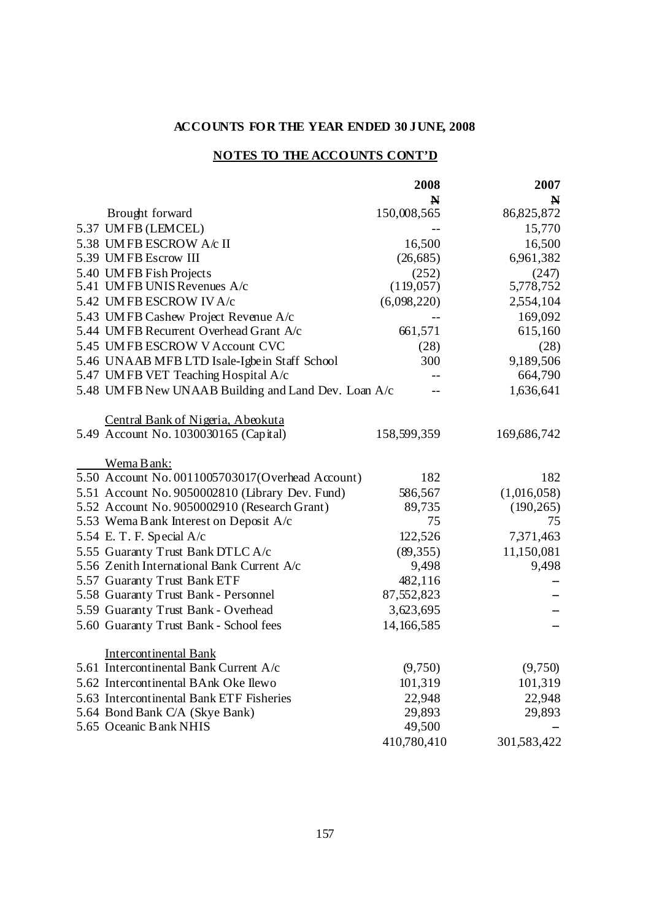# **NOTES TO THE ACCOUNTS CONT'D**

|                                                     | 2008        | 2007        |
|-----------------------------------------------------|-------------|-------------|
|                                                     | N           | N           |
| Brought forward                                     | 150,008,565 | 86,825,872  |
| 5.37 UMFB (LEMCEL)                                  |             | 15,770      |
| 5.38 UMFB ESCROW A/c II                             | 16,500      | 16,500      |
| 5.39 UMFB Escrow III                                | (26, 685)   | 6,961,382   |
| 5.40 UMFB Fish Projects                             | (252)       | (247)       |
| 5.41 UMFB UNIS Revenues A/c                         | (119, 057)  | 5,778,752   |
| 5.42 UMFB ESCROW IV A/c                             | (6,098,220) | 2,554,104   |
| 5.43 UMFB Cashew Project Revenue A/c                |             | 169,092     |
| 5.44 UMFB Recurrent Overhead Grant A/c              | 661,571     | 615,160     |
| 5.45 UMFB ESCROW V Account CVC                      | (28)        | (28)        |
| 5.46 UNAAB MFB LTD Isale-Igbein Staff School        | 300         | 9,189,506   |
| 5.47 UMFB VET Teaching Hospital A/c                 | --          | 664,790     |
| 5.48 UMFB New UNAAB Building and Land Dev. Loan A/c | --          | 1,636,641   |
| Central Bank of Nigeria, Abeokuta                   |             |             |
| 5.49 Account No. 1030030165 (Capital)               | 158,599,359 | 169,686,742 |
| Wema Bank:                                          |             |             |
| 5.50 Account No. 0011005703017(Overhead Account)    | 182         | 182         |
| 5.51 Account No. 9050002810 (Library Dev. Fund)     | 586,567     | (1,016,058) |
| 5.52 Account No. 9050002910 (Research Grant)        | 89,735      | (190, 265)  |
| 5.53 Wema B ank Interest on Deposit A/c             | 75          | 75          |
| 5.54 E. T. F. Special A/c                           | 122,526     | 7,371,463   |
| 5.55 Guaranty Trust Bank DTLC A/c                   | (89, 355)   | 11,150,081  |
| 5.56 Zenith International Bank Current A/c          | 9,498       | 9,498       |
| 5.57 Guaranty Trust Bank ETF                        | 482,116     |             |
| 5.58 Guaranty Trust Bank - Personnel                | 87,552,823  |             |
| 5.59 Guaranty Trust Bank - Overhead                 | 3,623,695   |             |
| 5.60 Guaranty Trust Bank - School fees              | 14,166,585  |             |
| <b>Intercontinental Bank</b>                        |             |             |
| 5.61 Intercontinental Bank Current A/c              | (9,750)     | (9,750)     |
| 5.62 Intercontinental BAnk Oke Ilewo                | 101,319     | 101,319     |
| 5.63 Intercontinental Bank ETF Fisheries            | 22,948      | 22,948      |
| 5.64 Bond Bank C/A (Skye Bank)                      | 29,893      | 29,893      |
| 5.65 Oceanic B ank NHIS                             | 49,500      |             |
|                                                     | 410,780,410 | 301,583,422 |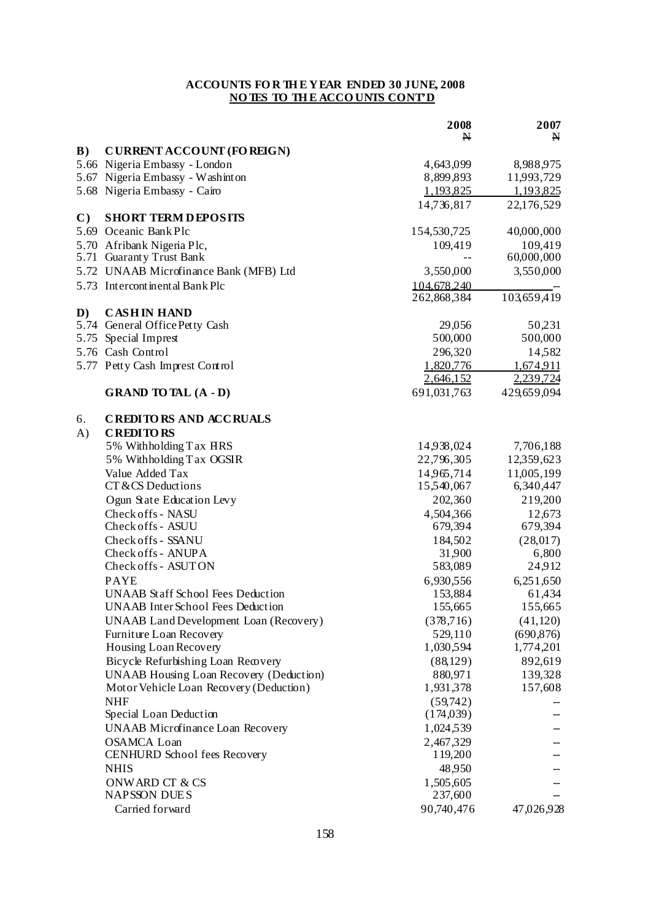|              |                                                | 2008        | 2007        |
|--------------|------------------------------------------------|-------------|-------------|
|              |                                                | N           | N           |
| B)           | <b>CURRENT ACCOUNT (FOREIGN)</b>               |             |             |
|              | 5.66 Nigeria Embassy - London                  | 4,643,099   | 8,988,975   |
|              | 5.67 Nigeria Embassy - Washinton               | 8,899,893   | 11,993,729  |
|              | 5.68 Nigeria Embassy - Cairo                   | 1,193,825   | 1,193,825   |
|              |                                                | 14,736,817  | 22,176,529  |
| $\mathbf{C}$ | <b>SHORT TERM DEPOSITS</b>                     |             |             |
|              | 5.69 Oceanic Bank Plc                          | 154,530,725 | 40,000,000  |
|              | 5.70 Afribank Nigeria Plc,                     | 109,419     | 109,419     |
| 5.71         | <b>Guaranty Trust Bank</b>                     |             | 60,000,000  |
|              | 5.72 UNAAB Microfinance Bank (MFB) Ltd         | 3,550,000   | 3,550,000   |
|              | 5.73 Intercontinental Bank Plc                 | 104.678.240 |             |
|              |                                                | 262,868,384 | 103,659,419 |
| D)           | <b>CASHIN HAND</b>                             |             |             |
|              | 5.74 General Office Petty Cash                 | 29,056      | 50,231      |
|              | 5.75 Special Imprest                           | 500,000     | 500,000     |
|              | 5.76 Cash Control                              | 296,320     | 14,582      |
|              | 5.77 Petty Cash Imprest Control                | 1,820,776   | 1,674,911   |
|              |                                                | 2,646,152   | 2,239,724   |
|              | <b>GRAND TO TAL (A - D)</b>                    | 691,031,763 | 429,659,094 |
| 6.           | <b>CREDITORS AND ACCRUALS</b>                  |             |             |
| $\bf{A}$ )   | <b>CREDITORS</b>                               |             |             |
|              | 5% Withholding Tax HRS                         | 14,938,024  | 7,706,188   |
|              | 5% Withholding Tax OGSIR                       | 22,796,305  | 12,359,623  |
|              | Value Added Tax                                | 14,965,714  | 11,005,199  |
|              | CT & CS Deductions                             | 15,540,067  | 6,340,447   |
|              | Ogun State Education Levy                      | 202,360     | 219,200     |
|              | Check offs - NASU                              | 4,504,366   | 12,673      |
|              | Check offs - ASUU                              | 679,394     | 679,394     |
|              | Check offs - SSANU                             | 184,502     | (28,017)    |
|              | Check offs - ANUPA                             | 31,900      | 6,800       |
|              | Check offs - ASUTON                            | 583,089     | 24,912      |
|              | <b>PAYE</b>                                    | 6,930,556   | 6,251,650   |
|              | <b>UNAAB</b> Staff School Fees Deduction       | 153,884     | 61,434      |
|              | UNAAB Inter School Fees Deduction              | 155,665     | 155,665     |
|              | <b>UNAAB</b> Land Development Loan (Recovery)  | (378, 716)  | (41, 120)   |
|              | Furniture Loan Recovery                        | 529,110     | (690, 876)  |
|              | Housing Loan Recovery                          | 1,030,594   | 1,774,201   |
|              | Bicycle Refurbishing Loan Recovery             | (88, 129)   | 892,619     |
|              | <b>UNAAB</b> Housing Loan Recovery (Deduction) | 880,971     | 139,328     |
|              | Motor Vehicle Loan Recovery (Deduction)        | 1,931,378   | 157,608     |
|              | <b>NHF</b>                                     | (59,742)    |             |
|              | Special Loan Deduction                         | (174,039)   |             |
|              | <b>UNAAB</b> Microfinance Loan Recovery        | 1,024,539   |             |
|              | <b>OSAMCA Loan</b>                             | 2,467,329   |             |
|              | CENHURD School fees Recovery                   | 119,200     |             |
|              | <b>NHIS</b>                                    | 48,950      |             |
|              | ONWARD CT & CS                                 | 1,505,605   |             |
|              | <b>NAPSSON DUES</b>                            | 237,600     |             |
|              | Carried forward                                | 90,740,476  | 47,026,928  |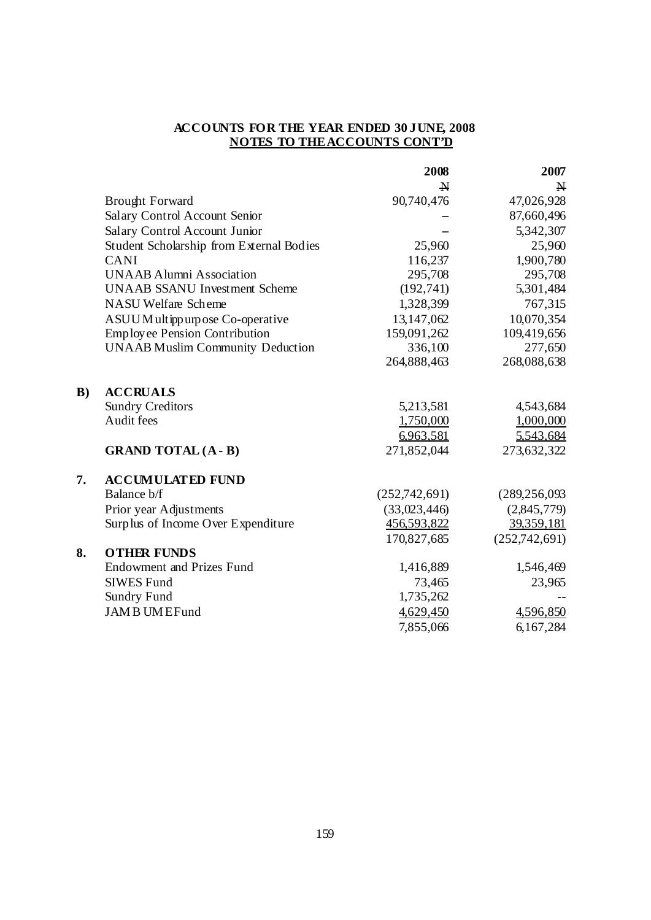|    |                                          | 2008          | 2007            |
|----|------------------------------------------|---------------|-----------------|
|    |                                          | $\mathbf N$   | $\mathbf{N}$    |
|    | <b>Brought Forward</b>                   | 90,740,476    | 47,026,928      |
|    | Salary Control Account Senior            |               | 87,660,496      |
|    | Salary Control Account Junior            |               | 5,342,307       |
|    | Student Scholarship from External Bodies | 25,960        | 25,960          |
|    | <b>CANI</b>                              | 116,237       | 1,900,780       |
|    | <b>UNAAB Alumni Association</b>          | 295,708       | 295,708         |
|    | <b>UNAAB SSANU Investment Scheme</b>     | (192, 741)    | 5,301,484       |
|    | NASU Welfare Scheme                      | 1,328,399     | 767,315         |
|    | ASUUM ultippurpose Co-operative          | 13,147,062    | 10,070,354      |
|    | Employee Pension Contribution            | 159,091,262   | 109,419,656     |
|    | <b>UNAAB Muslim Community Deduction</b>  | 336,100       | 277,650         |
|    |                                          | 264,888,463   | 268,088,638     |
| B) | <b>ACCRUALS</b>                          |               |                 |
|    | <b>Sundry Creditors</b>                  | 5,213,581     | 4,543,684       |
|    | Audit fees                               | 1,750,000     | 1,000,000       |
|    |                                          | 6,963,581     | 5.543.684       |
|    | <b>GRAND TOTAL (A - B)</b>               | 271,852,044   | 273,632,322     |
| 7. | <b>ACCUMULATED FUND</b>                  |               |                 |
|    | Balance b/f                              | (252,742,691) | (289, 256, 093) |
|    | Prior year Adjustments                   | (33,023,446)  | (2,845,779)     |
|    | Surplus of Income Over Expenditure       | 456,593,822   | 39,359,181      |
|    |                                          | 170,827,685   | (252,742,691)   |
| 8. | <b>OTHER FUNDS</b>                       |               |                 |
|    | <b>Endowment and Prizes Fund</b>         | 1,416,889     | 1,546,469       |
|    | <b>SIWES Fund</b>                        | 73,465        | 23,965          |
|    | <b>Sundry Fund</b>                       | 1,735,262     |                 |
|    | <b>JAMBUMEFund</b>                       | 4,629,450     | 4,596,850       |
|    |                                          | 7,855,066     | 6,167,284       |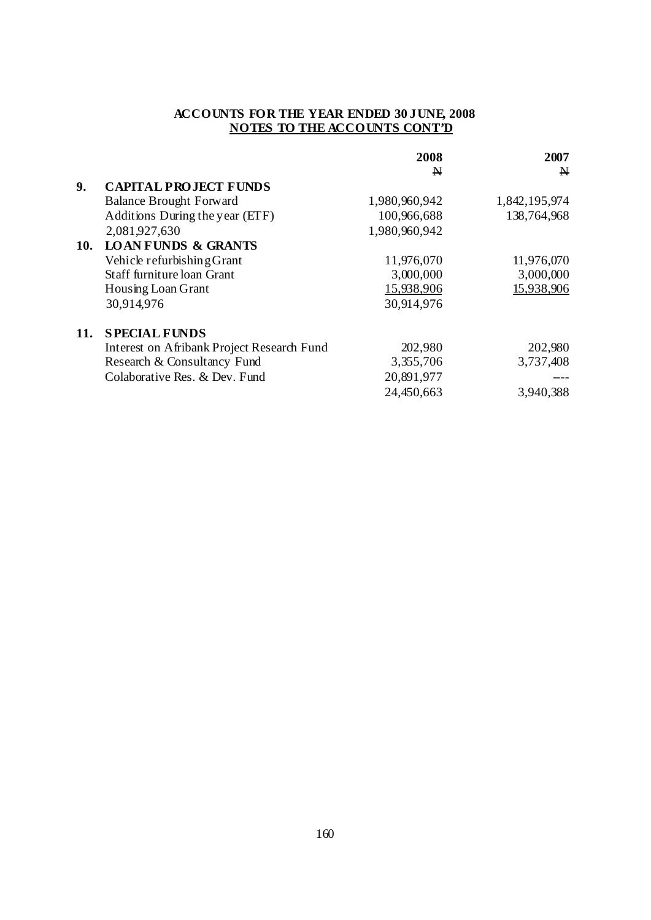|            |                                                   | 2008          | 2007          |
|------------|---------------------------------------------------|---------------|---------------|
|            |                                                   | N             | $\mathbf{N}$  |
| 9.         | <b>CAPITAL PROJECT FUNDS</b>                      |               |               |
|            | <b>Balance Brought Forward</b>                    | 1,980,960,942 | 1,842,195,974 |
|            | Additions During the year (ETF)                   | 100,966,688   | 138,764,968   |
|            | 2,081,927,630                                     | 1,980,960,942 |               |
| <b>10.</b> | <b>LOAN FUNDS &amp; GRANTS</b>                    |               |               |
|            | Vehicle refurbishing Grant                        | 11,976,070    | 11,976,070    |
|            | Staff furniture loan Grant                        | 3,000,000     | 3,000,000     |
|            | Housing Loan Grant                                | 15,938,906    | 15,938,906    |
|            | 30,914,976                                        | 30,914,976    |               |
| 11.        | <b>SPECIAL FUNDS</b>                              |               |               |
|            | <b>Interest on Afribank Project Research Fund</b> | 202,980       | 202,980       |
|            | Research & Consultancy Fund                       | 3,355,706     | 3,737,408     |
|            | Colaborative Res. & Dev. Fund                     | 20,891,977    |               |
|            |                                                   | 24,450,663    | 3,940,388     |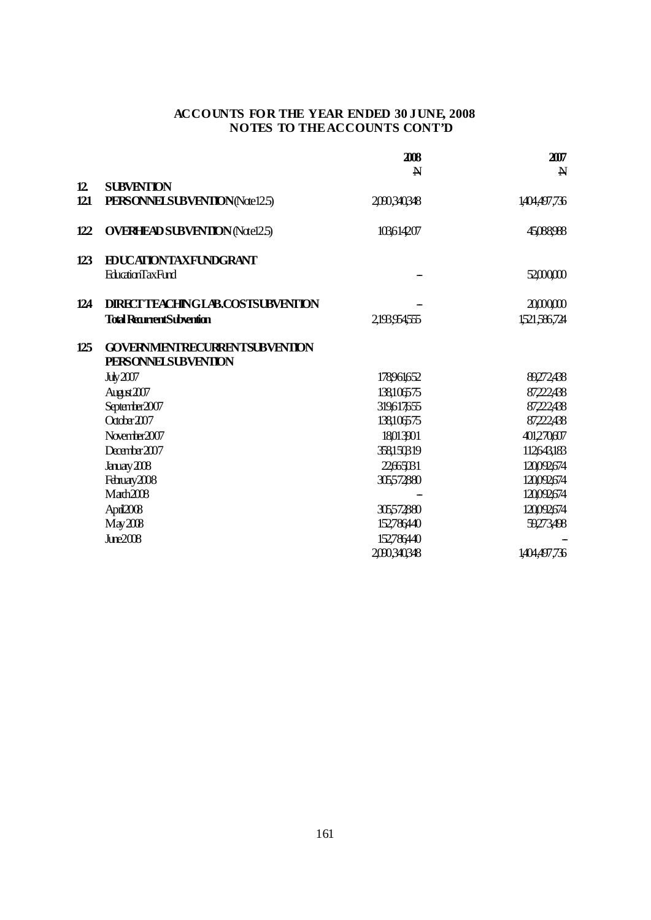|     |                                         | 2008<br>$\mathbf N$ | 207<br>$\mathbf N$ |
|-----|-----------------------------------------|---------------------|--------------------|
| 12  | <b>SUBVENTION</b>                       |                     |                    |
| 121 | PERSONNEL SUBVENTION (Note 125)         | 2090,340,348        | 1,404,497,736      |
| 122 | <b>OVERHEAD SUBVENTION (Natel2.5)</b>   | 103614207           | 45,088,988         |
| 123 | <b>EDUCATIONTAXFUNDGRANT</b>            |                     |                    |
|     | <b>EducationTaxFund</b>                 |                     | 52,000,000         |
| 124 | <b>DIRECTTEACHINGLAB.COSTSUBVENTION</b> |                     | 20,000,000         |
|     | <b>Total RecurrentSubvention</b>        | 2,193,954555        | 1521,586,724       |
| 125 | <b>GOVERNMENTRECURRENTSUBVENTION</b>    |                     |                    |
|     | <b>PERSONNEL SUBVENTION</b>             |                     |                    |
|     | Ju / 207                                | 178961652           | 89272438           |
|     | August 2007                             | 138106575           | 87,222,438         |
|     | September2007                           | 319617655           | 87,222,438         |
|     | $\text{October } 207$                   | 138,106575          | 87,222,438         |
|     | November 2007                           | 18013901            | 401,270,607        |
|     | December $2007$                         | 358150319           | 112643,183         |
|     | Januay 2008                             | 22,65,031           | 120092674          |
|     | February 2008                           | 305572880           | 120092674          |
|     | Mach2008                                |                     | 120092674          |
|     | April2008                               | 305572880           | 120092674          |
|     | May2008                                 | 152786440           | 59273,498          |
|     | June2008                                | 152786440           |                    |
|     |                                         | 2090340348          | 1404,497,736       |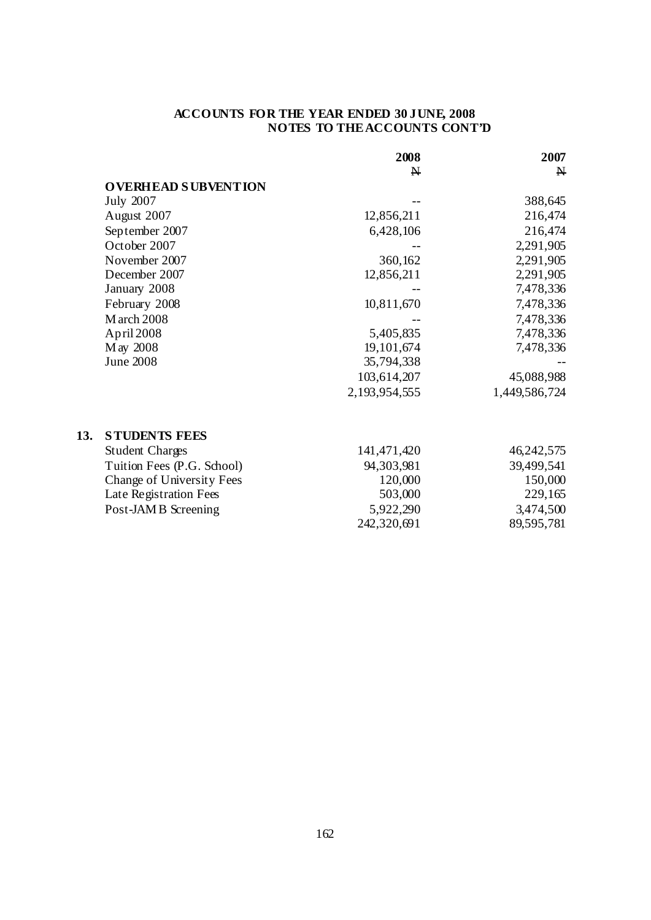|     |                            | 2008          | 2007          |
|-----|----------------------------|---------------|---------------|
|     |                            | $\mathbf{N}$  | $\mathbf N$   |
|     | <b>OVERHEAD SUBVENTION</b> |               |               |
|     | <b>July 2007</b>           |               | 388,645       |
|     | August 2007                | 12,856,211    | 216,474       |
|     | September 2007             | 6,428,106     | 216,474       |
|     | October 2007               |               | 2,291,905     |
|     | November 2007              | 360,162       | 2,291,905     |
|     | December 2007              | 12,856,211    | 2,291,905     |
|     | January 2008               |               | 7,478,336     |
|     | February 2008              | 10,811,670    | 7,478,336     |
|     | <b>M</b> arch 2008         |               | 7,478,336     |
|     | April 2008                 | 5,405,835     | 7,478,336     |
|     | May 2008                   | 19,101,674    | 7,478,336     |
|     | <b>June 2008</b>           | 35,794,338    |               |
|     |                            | 103,614,207   | 45,088,988    |
|     |                            | 2,193,954,555 | 1,449,586,724 |
| 13. | <b>STUDENTS FEES</b>       |               |               |
|     | <b>Student Charges</b>     | 141,471,420   | 46, 242, 575  |
|     | Tuition Fees (P.G. School) | 94,303,981    | 39,499,541    |
|     | Change of University Fees  | 120,000       | 150,000       |
|     | Late Registration Fees     | 503,000       | 229,165       |
|     | Post-JAMB Screening        | 5,922,290     | 3,474,500     |
|     |                            | 242,320,691   | 89,595,781    |
|     |                            |               |               |

**13.**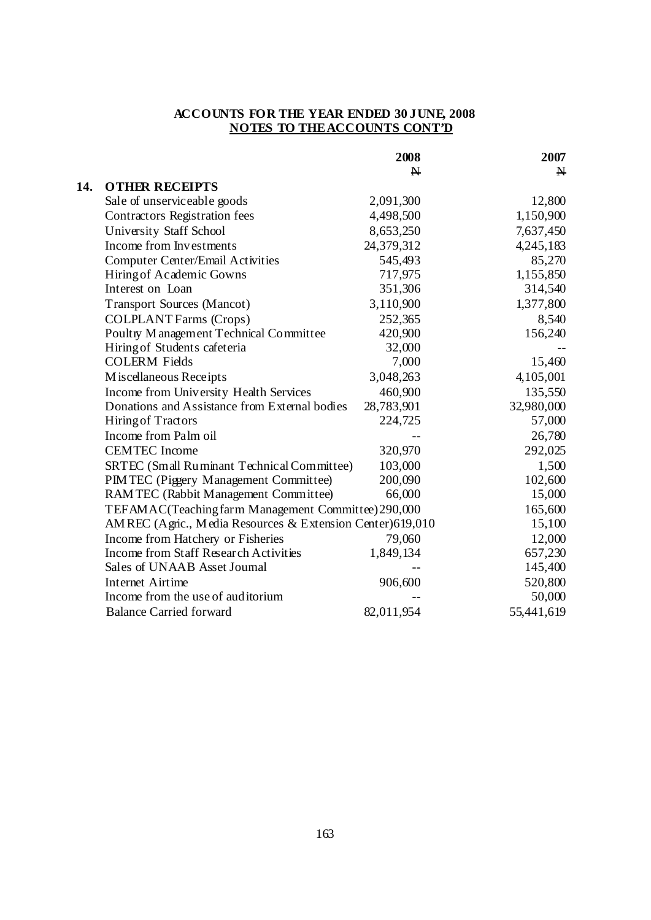|     |                                                           | 2008         | 2007         |
|-----|-----------------------------------------------------------|--------------|--------------|
|     |                                                           | $\mathbf{N}$ | $\mathbf{N}$ |
| 14. | <b>OTHER RECEIPTS</b>                                     |              |              |
|     | Sale of unserviceable goods                               | 2,091,300    | 12,800       |
|     | Contractors Registration fees                             | 4,498,500    | 1,150,900    |
|     | University Staff School                                   | 8,653,250    | 7,637,450    |
|     | Income from Investments                                   | 24,379,312   | 4,245,183    |
|     | <b>Computer Center/Email Activities</b>                   | 545,493      | 85,270       |
|     | Hiring of Academic Gowns                                  | 717,975      | 1,155,850    |
|     | Interest on Loan                                          | 351,306      | 314,540      |
|     | <b>Transport Sources (Mancot)</b>                         | 3,110,900    | 1,377,800    |
|     | <b>COLPLANT Farms (Crops)</b>                             | 252,365      | 8,540        |
|     | Poultry M anagement Technical Committee                   | 420,900      | 156,240      |
|     | Hiring of Students cafeteria                              | 32,000       |              |
|     | <b>COLERM Fields</b>                                      | 7,000        | 15,460       |
|     | Miscellaneous Receipts                                    | 3,048,263    | 4,105,001    |
|     | Income from University Health Services                    | 460,900      | 135,550      |
|     | Donations and Assistance from External bodies             | 28,783,901   | 32,980,000   |
|     | <b>Hiring of Tractors</b>                                 | 224,725      | 57,000       |
|     | Income from Palm oil                                      |              | 26,780       |
|     | <b>CEMTEC</b> Income                                      | 320,970      | 292,025      |
|     | SRTEC (Small Ruminant Technical Committee)                | 103,000      | 1,500        |
|     | PIM TEC (Piggery Management Committee)                    | 200,090      | 102,600      |
|     | RAMTEC (Rabbit Management Committee)                      | 66,000       | 15,000       |
|     | TEFAMAC(Teaching farm Management Committee) 290,000       |              | 165,600      |
|     | AMREC (Agric., Media Resources & Extension Center)619,010 |              | 15,100       |
|     | Income from Hatchery or Fisheries                         | 79,060       | 12,000       |
|     | Income from Staff Research Activities                     | 1,849,134    | 657,230      |
|     | Sales of UNAAB Asset Journal                              |              | 145,400      |
|     | <b>Internet Airtime</b>                                   | 906,600      | 520,800      |
|     | Income from the use of auditorium                         |              | 50,000       |
|     | <b>Balance Carried forward</b>                            | 82,011,954   | 55,441,619   |
|     |                                                           |              |              |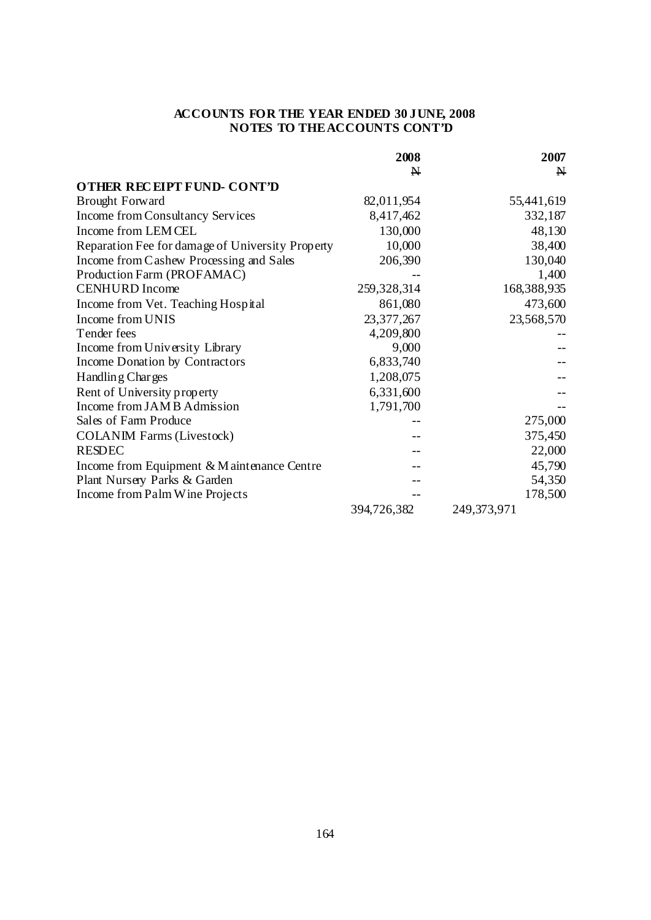|                                                  | 2008         | 2007         |
|--------------------------------------------------|--------------|--------------|
|                                                  | N            | $\mathbf{N}$ |
| OTHER RECEIPT FUND-CONT'D                        |              |              |
| <b>Brought Forward</b>                           | 82,011,954   | 55,441,619   |
| Income from Consultancy Services                 | 8,417,462    | 332,187      |
| Income from LEMCEL                               | 130,000      | 48,130       |
| Reparation Fee for damage of University Property | 10,000       | 38,400       |
| Income from Cashew Processing and Sales          | 206,390      | 130,040      |
| Production Farm (PROFAMAC)                       |              | 1,400        |
| <b>CENHURD</b> Income                            | 259,328,314  | 168,388,935  |
| Income from Vet. Teaching Hospital               | 861,080      | 473,600      |
| Income from UNIS                                 | 23, 377, 267 | 23,568,570   |
| Tender fees                                      | 4,209,800    |              |
| Income from University Library                   | 9,000        |              |
| Income Donation by Contractors                   | 6,833,740    |              |
| Handling Charges                                 | 1,208,075    |              |
| Rent of University property                      | 6,331,600    |              |
| Income from JAMB Admission                       | 1,791,700    |              |
| Sales of Farm Produce                            |              | 275,000      |
| <b>COLANIM Farms (Livestock)</b>                 |              | 375,450      |
| <b>RESDEC</b>                                    |              | 22,000       |
| Income from Equipment & Maintenance Centre       |              | 45,790       |
| Plant Nursery Parks & Garden                     |              | 54,350       |
| Income from Palm Wine Projects                   |              | 178,500      |
|                                                  | 394,726,382  | 249,373,971  |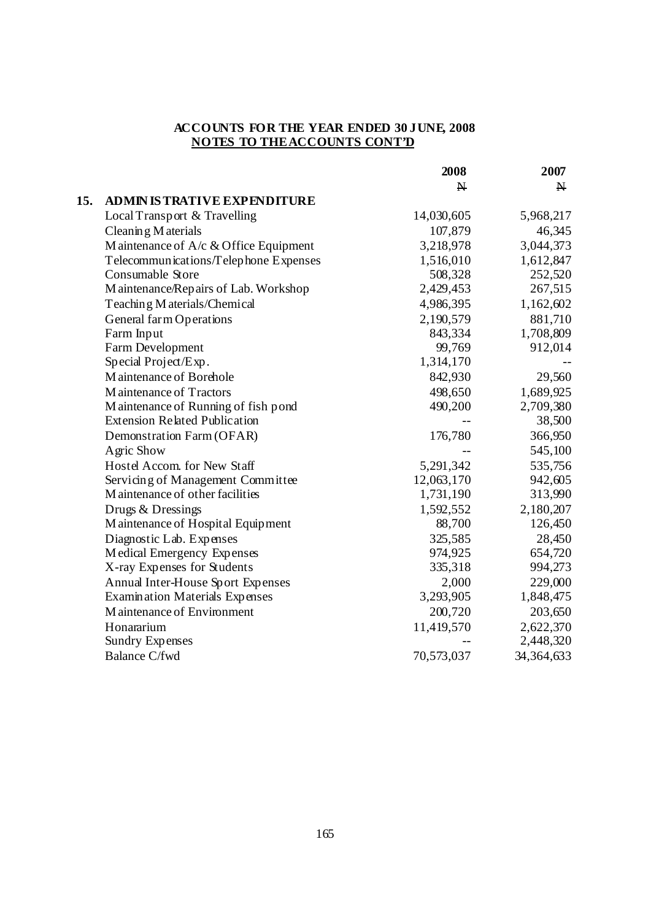|     |                                           | 2008         | 2007                    |
|-----|-------------------------------------------|--------------|-------------------------|
|     |                                           | $\mathbf{N}$ | $\overline{\mathsf{N}}$ |
| 15. | <b>ADMIN IS TRATIVE EXPENDITURE</b>       |              |                         |
|     | Local Transport & Travelling              | 14,030,605   | 5,968,217               |
|     | Cleaning M aterials                       | 107,879      | 46,345                  |
|     | M aintenance of $A/c \& Office$ Equipment | 3,218,978    | 3,044,373               |
|     | Telecommunications/Telephone Expenses     | 1,516,010    | 1,612,847               |
|     | Consumable Store                          | 508,328      | 252,520                 |
|     | Maintenance/Repairs of Lab. Workshop      | 2,429,453    | 267,515                 |
|     | Teaching M aterials/Chemical              | 4,986,395    | 1,162,602               |
|     | General farm Operations                   | 2,190,579    | 881,710                 |
|     | Farm Input                                | 843,334      | 1,708,809               |
|     | Farm Development                          | 99,769       | 912,014                 |
|     | Special Project/Exp.                      | 1,314,170    |                         |
|     | Maintenance of Borehole                   | 842,930      | 29,560                  |
|     | Maintenance of Tractors                   | 498,650      | 1,689,925               |
|     | Maintenance of Running of fish pond       | 490,200      | 2,709,380               |
|     | <b>Extension Related Publication</b>      |              | 38,500                  |
|     | Demonstration Farm (OFAR)                 | 176,780      | 366,950                 |
|     | Agric Show                                |              | 545,100                 |
|     | Hostel Accom. for New Staff               | 5,291,342    | 535,756                 |
|     | Servicing of Management Committee         | 12,063,170   | 942,605                 |
|     | M aintenance of other facilities          | 1,731,190    | 313,990                 |
|     | Drugs & Dressings                         | 1,592,552    | 2,180,207               |
|     | Maintenance of Hospital Equipment         | 88,700       | 126,450                 |
|     | Diagnostic Lab. Expenses                  | 325,585      | 28,450                  |
|     | Medical Emergency Expenses                | 974,925      | 654,720                 |
|     | X-ray Expenses for Students               | 335,318      | 994,273                 |
|     | Annual Inter-House Sport Expenses         | 2,000        | 229,000                 |
|     | <b>Examination Materials Expenses</b>     | 3,293,905    | 1,848,475               |
|     | Maintenance of Environment                | 200,720      | 203,650                 |
|     | Honararium                                | 11,419,570   | 2,622,370               |
|     | <b>Sundry Expenses</b>                    |              | 2,448,320               |
|     | <b>Balance C/fwd</b>                      | 70,573,037   | 34,364,633              |
|     |                                           |              |                         |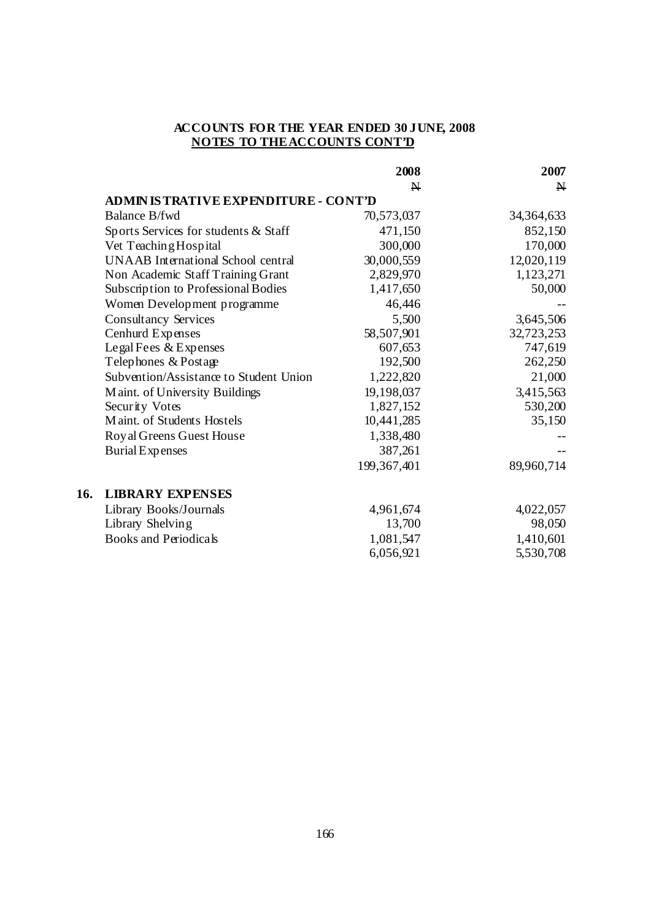|                                            | 2008          | 2007         |
|--------------------------------------------|---------------|--------------|
|                                            | $\mathbf{N}$  | $\mathbf{N}$ |
| <b>ADMINISTRATIVE EXPENDITURE - CONT'D</b> |               |              |
| <b>Balance B/fwd</b>                       | 70,573,037    | 34, 364, 633 |
| Sports Services for students & Staff       | 471,150       | 852,150      |
| Vet Teaching Hospital                      | 300,000       | 170,000      |
| <b>UNAAB</b> International School central  | 30,000,559    | 12,020,119   |
| Non Academic Staff Training Grant          | 2,829,970     | 1,123,271    |
| Subscription to Professional Bodies        | 1,417,650     | 50,000       |
| Women Development programme                | 46,446        |              |
| <b>Consultancy Services</b>                | 5,500         | 3,645,506    |
| Cenhurd Expenses                           | 58,507,901    | 32,723,253   |
| Legal Fees & Expenses                      | 607,653       | 747,619      |
| Telephones & Postage                       | 192,500       | 262,250      |
| Subvention/Assistance to Student Union     | 1,222,820     | 21,000       |
| Maint. of University Buildings             | 19,198,037    | 3,415,563    |
| Security Votes                             | 1,827,152     | 530,200      |
| Maint. of Students Hostels                 | 10,441,285    | 35,150       |
| Royal Greens Guest House                   | 1,338,480     |              |
| <b>Burial Expenses</b>                     | 387,261       |              |
|                                            | 199, 367, 401 | 89,960,714   |
| <b>LIBRARY EXPENSES</b>                    |               |              |
| Library Books/Journals                     | 4,961,674     | 4,022,057    |
| Library Shelving                           | 13,700        | 98,050       |
| <b>Books and Periodicals</b>               | 1,081,547     | 1,410,601    |
|                                            | 6,056,921     | 5,530,708    |

**16.**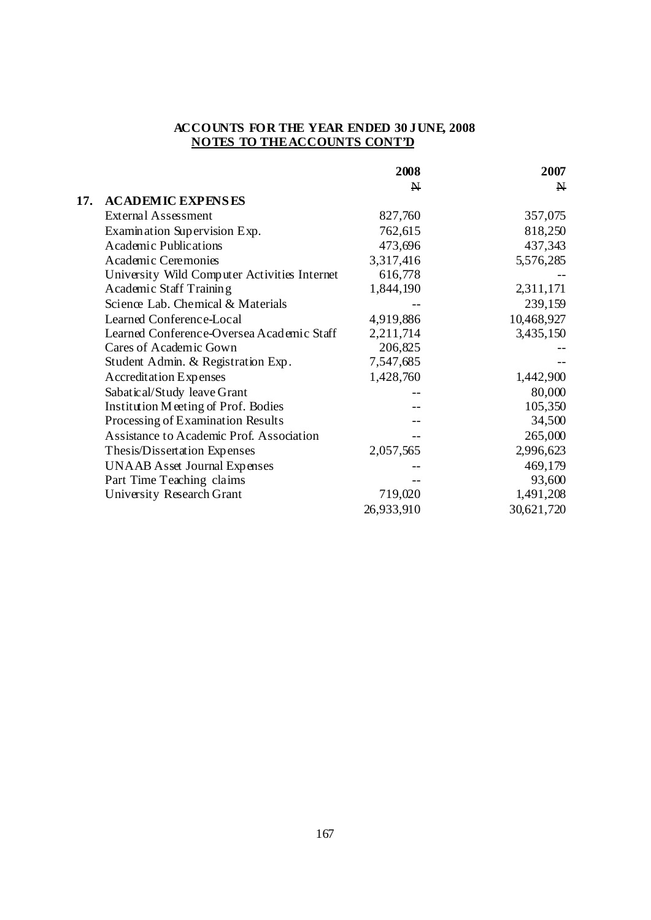|     |                                              | 2008         | 2007         |
|-----|----------------------------------------------|--------------|--------------|
|     |                                              | $\mathbf{N}$ | $\mathbf{N}$ |
| 17. | <b>ACADEMIC EXPENSES</b>                     |              |              |
|     | <b>External Assessment</b>                   | 827,760      | 357,075      |
|     | Examination Supervision Exp.                 | 762,615      | 818,250      |
|     | <b>Academic Publications</b>                 | 473,696      | 437,343      |
|     | Academic Ceremonies                          | 3,317,416    | 5,576,285    |
|     | University Wild Computer Activities Internet | 616,778      |              |
|     | Academic Staff Training                      | 1,844,190    | 2,311,171    |
|     | Science Lab. Chemical & Materials            |              | 239,159      |
|     | Learned Conference-Local                     | 4,919,886    | 10,468,927   |
|     | Learned Conference-Oversea Academic Staff    | 2,211,714    | 3,435,150    |
|     | Cares of Academic Gown                       | 206,825      |              |
|     | Student Admin. & Registration Exp.           | 7,547,685    |              |
|     | <b>Accreditation Expenses</b>                | 1,428,760    | 1,442,900    |
|     | Sabatical/Study leave Grant                  |              | 80,000       |
|     | Institution Meeting of Prof. Bodies          |              | 105,350      |
|     | Processing of Examination Results            |              | 34,500       |
|     | Assistance to Academic Prof. Association     |              | 265,000      |
|     | Thesis/Dissertation Expenses                 | 2,057,565    | 2,996,623    |
|     | <b>UNAAB</b> Asset Journal Expenses          |              | 469,179      |
|     | Part Time Teaching claims                    |              | 93,600       |
|     | University Research Grant                    | 719,020      | 1,491,208    |
|     |                                              | 26,933,910   | 30,621,720   |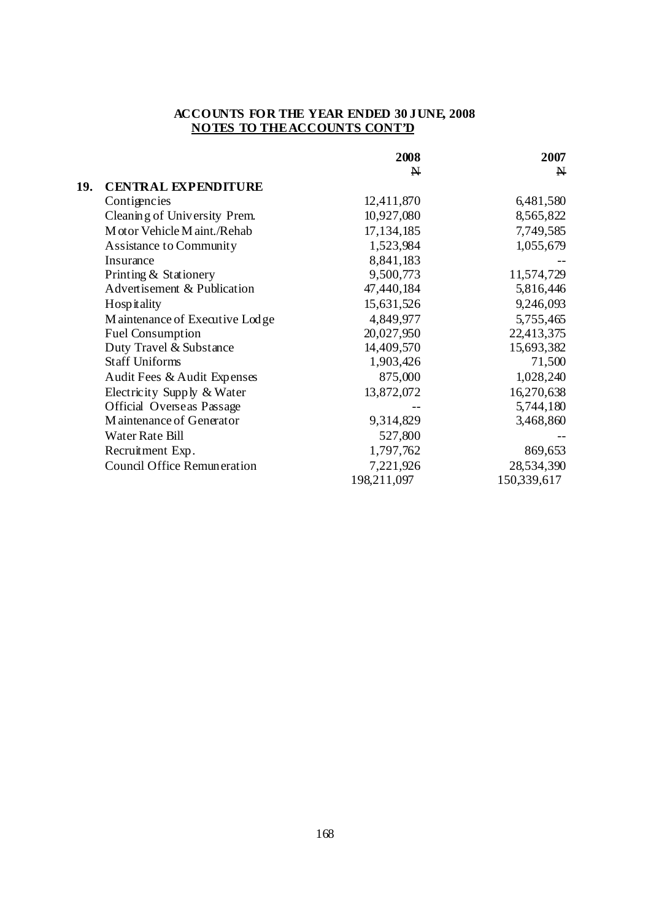|     |                                  | 2008         | 2007         |
|-----|----------------------------------|--------------|--------------|
|     |                                  | $\mathbf{N}$ | $\mathbf{N}$ |
| 19. | <b>CENTRAL EXPENDITURE</b>       |              |              |
|     | Contigencies                     | 12,411,870   | 6,481,580    |
|     | Cleaning of University Prem.     | 10,927,080   | 8,565,822    |
|     | M otor Vehicle M aint./Rehab     | 17,134,185   | 7,749,585    |
|     | <b>Assistance to Community</b>   | 1,523,984    | 1,055,679    |
|     | Insurance                        | 8,841,183    |              |
|     | Printing & Stationery            | 9,500,773    | 11,574,729   |
|     | Advertisement & Publication      | 47,440,184   | 5,816,446    |
|     | Hospitality                      | 15,631,526   | 9,246,093    |
|     | Maintenance of Executive Lodge   | 4,849,977    | 5,755,465    |
|     | <b>Fuel Consumption</b>          | 20,027,950   | 22,413,375   |
|     | Duty Travel & Substance          | 14,409,570   | 15,693,382   |
|     | <b>Staff Uniforms</b>            | 1,903,426    | 71,500       |
|     | Audit Fees & Audit Expenses      | 875,000      | 1,028,240    |
|     | Electricity Supply & Water       | 13,872,072   | 16,270,638   |
|     | <b>Official Overseas Passage</b> |              | 5,744,180    |
|     | Maintenance of Generator         | 9,314,829    | 3,468,860    |
|     | Water Rate Bill                  | 527,800      |              |
|     | Recruitment Exp.                 | 1,797,762    | 869,653      |
|     | Council Office Remuneration      | 7,221,926    | 28,534,390   |
|     |                                  | 198,211,097  | 150,339,617  |
|     |                                  |              |              |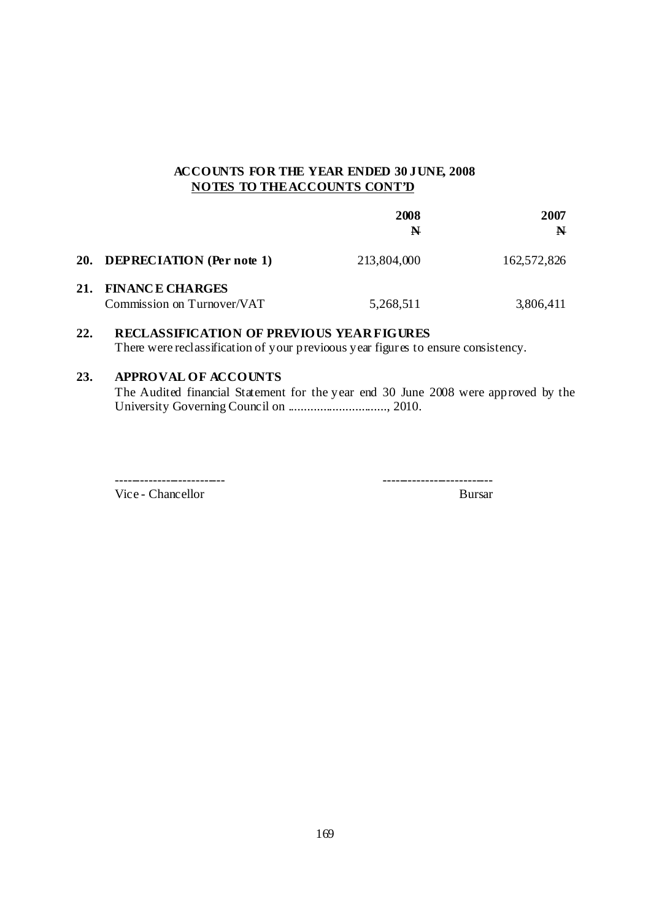|                                                   | 2008<br>N   | 2007<br>$\mathbf{N}$ |
|---------------------------------------------------|-------------|----------------------|
| 20. DEPRECIATION (Per note 1)                     | 213,804,000 | 162,572,826          |
| 21. FINANCE CHARGES<br>Commission on Turnover/VAT | 5,268,511   | 3,806,411            |

# **22. RECLASSIFICATION OF PREVIOUS YEAR FIGURES** There were reclassification of your previoous year figures to ensure consistency.

# **23. APPROVAL OF ACCOUNTS**

 The Audited financial Statement for the year end 30 June 2008 were approved by the University Governing Council on ..............................., 2010.

Vice - Chancellor Bursar

-------------------------- --------------------------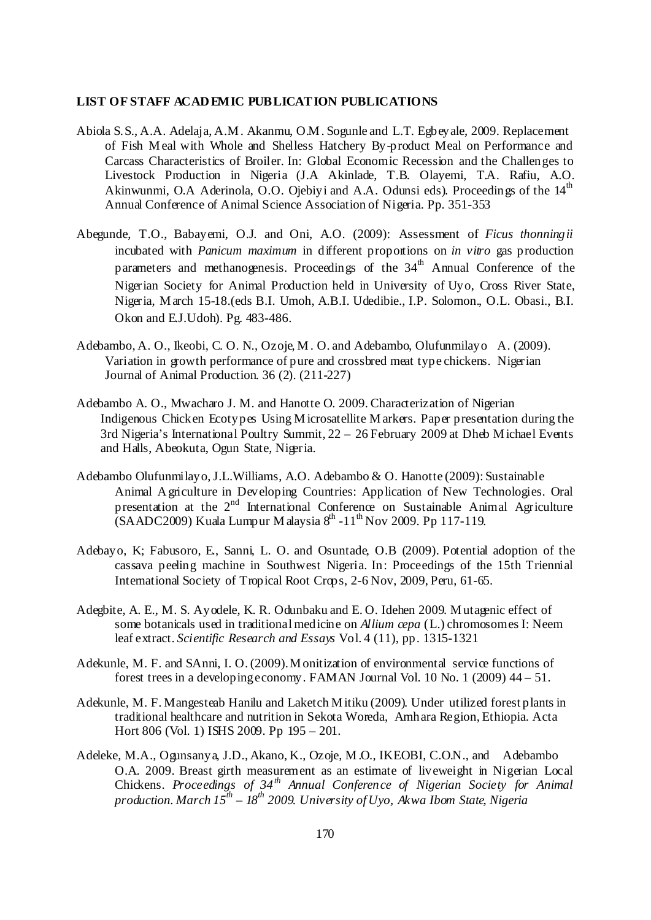#### **LIST OF STAFF ACAD EMIC PUBLICATION PUBLICATIONS**

- Abiola S.S., A.A. Adelaja, A.M . Akanmu, O.M . Sogunle and L.T. Egbeyale, 2009. Replacement of Fish M eal with Whole and Shelless Hatchery By-product Meal on Performance and Carcass Characteristics of Broiler. In: Global Economic Recession and the Challenges to Livestock Production in Nigeria (J.A Akinlade, T.B. Olayemi, T.A. Rafiu, A.O. Akinwunmi, O.A Aderinola, O.O. Ojebiyi and A.A. Odunsi eds). Proceedings of the  $14<sup>th</sup>$ Annual Conference of Animal Science Association of Nigeria. Pp. 351-353
- Abegunde, T.O., Babayemi, O.J. and Oni, A.O. (2009): Assessment of *Ficus thonningii* incubated with *Panicum maximum* in different proportions on *in vitro* gas production parameters and methanogenesis. Proceedings of the  $34<sup>th</sup>$  Annual Conference of the Nigerian Society for Animal Production held in University of Uyo, Cross River State, Nigeria, M arch 15-18.(eds B.I. Umoh, A.B.I. Udedibie., I.P. Solomon., O.L. Obasi., B.I. Okon and E.J.Udoh). Pg. 483-486.
- Adebambo, A. O., Ikeobi, C. O. N., Ozoje, M . O. and Adebambo, Olufunmilayo A. (2009). Variation in growth performance of pure and crossbred meat type chickens. Nigerian Journal of Animal Production. 36 (2). (211-227)
- Adebambo A. O., Mwacharo J. M. and Hanotte O. 2009. Characterization of Nigerian Indigenous Chicken Ecotypes Using M icrosatellite M arkers. Paper presentation during the 3rd Nigeria's International Poultry Summit, 22 – 26 February 2009 at Dheb M ichael Events and Halls, Abeokuta, Ogun State, Nigeria.
- Adebambo Olufunmilayo, J.L.Williams, A.O. Adebambo & O. Hanotte (2009): Sustainable Animal A griculture in Developing Countries: Application of New Technologies. Oral presentation at the  $2^{nd}$  International Conference on Sustainable Animal Agriculture  $(SAADC2009)$  Kuala Lumpur M alaysia  $8<sup>th</sup> -11<sup>th</sup>$  Nov 2009. Pp 117-119.
- Adebayo, K; Fabusoro, E., Sanni, L. O. and Osuntade, O.B (2009). Potential adoption of the cassava peeling machine in Southwest Nigeria. In: Proceedings of the 15th Triennial International Society of Tropical Root Crops, 2-6 Nov, 2009, Peru, 61-65.
- Adegbite, A. E., M. S. Ayodele, K. R. Odunbaku and E. O. Idehen 2009. M utagenic effect of some botanicals used in traditional medicine on *Allium cepa* (L.) chromosomes I: Neem leaf extract. *Scientific Research and Essays* Vol. 4 (11), pp. 1315-1321
- Adekunle, M. F. and SAnni, I. O. (2009). M onitization of environmental service functions of forest trees in a developing economy. FAMAN Journal Vol. 10 No. 1 (2009) 44 – 51.
- Adekunle, M. F. Mangesteab Hanilu and Laketch M itiku (2009). Under utilized forest plants in traditional healthcare and nutrition in Sekota Woreda, Amhara Region, Ethiopia. Acta Hort 806 (Vol. 1) ISHS 2009. Pp 195 – 201.
- Adeleke, M.A., Ogunsanya, J.D., Akano, K., Ozoje, M.O., IKEOBI, C.O.N., and Adebambo O.A. 2009. Breast girth measurement as an estimate of liveweight in Nigerian Local Chickens. *Proceedings of 34th Annual Conference of Nigerian Society for Animal production. March 15th – 18th 2009. University of Uyo, Akwa Ibom State, Nigeria*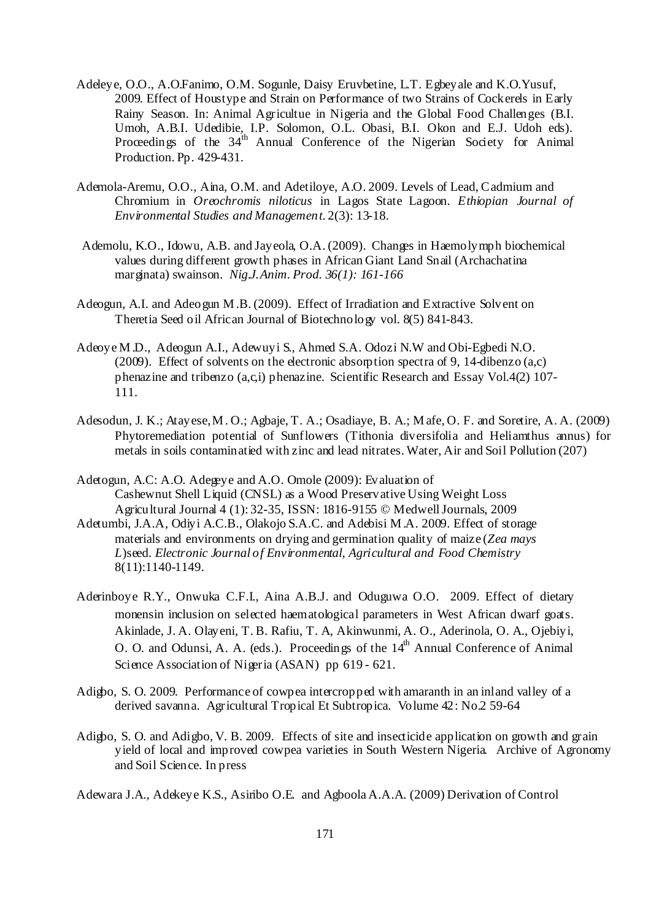- Adeleye, O.O., A.O.Fanimo, O.M. Sogunle, Daisy Eruvbetine, L.T. Egbeyale and K.O.Yusuf, 2009. Effect of Houstype and Strain on Performance of two Strains of Cockerels in Early Rainy Season. In: Animal Agricultue in Nigeria and the Global Food Challenges (B.I. Umoh, A.B.I. Udedibie, I.P. Solomon, O.L. Obasi, B.I. Okon and E.J. Udoh eds). Proceedings of the 34<sup>th</sup> Annual Conference of the Nigerian Society for Animal Production. Pp. 429-431.
- Ademola-Aremu, O.O., Aina, O.M. and Adetiloye, A.O. 2009. Levels of Lead, Cadmium and Chromium in *Oreochromis niloticus* in Lagos State Lagoon. *Ethiopian Journal of Environmental Studies and Management*. 2(3): 13-18.
- Ademolu, K.O., Idowu, A.B. and Jayeola, O.A. (2009). Changes in Haemolymph biochemical values during different growth phases in African Giant Land Snail (Archachatina marginata) swainson. *Nig.J.Anim. Prod. 36(1): 161-166*
- Adeogun, A.I. and Adeogun M .B. (2009). Effect of Irradiation and Extractive Solvent on Theretia Seed oil African Journal of Biotechnology vol. 8(5) 841-843.
- Adeoye M .D., Adeogun A.I., Adewuyi S., Ahmed S.A. Odozi N.W and Obi-Egbedi N.O. (2009). Effect of solvents on the electronic absorption spectra of 9, 14-dibenzo (a,c) phenazine and tribenzo (a,c,i) phenazine. Scientific Research and Essay Vol.4(2) 107- 111.
- Adesodun, J. K.; Atayese, M . O.; Agbaje, T. A.; Osadiaye, B. A.; M afe, O. F. and Soretire, A. A. (2009) Phytoremediation potential of Sunflowers (Tithonia diversifolia and Heliamthus annus) for metals in soils contaminatied with zinc and lead nitrates. Water, Air and Soil Pollution (207)
- Adetogun, A.C: A.O. Adegeye and A.O. Omole (2009): Evaluation of Cashewnut Shell Liquid (CNSL) as a Wood Preservative Using Weight Loss. Agricultural Journal 4 (1): 32-35, ISSN: 1816-9155 © Medwell Journals, 2009
- Adetumbi, J.A.A, Odiyi A.C.B., Olakojo S.A.C. and Adebisi M .A. 2009. Effect of storage materials and environments on drying and germination quality of maize (*Zea mays L*)seed. *Electronic Journal of Environmental, Agricultural and Food Chemistry* 8(11):1140-1149.
- Aderinboye R.Y., Onwuka C.F.I., Aina A.B.J. and Oduguwa O.O. 2009. Effect of dietary monensin inclusion on selected haematological parameters in West African dwarf goats. Akinlade, J. A. Olayeni, T. B. Rafiu, T. A, Akinwunmi, A. O., Aderinola, O. A., Ojebiyi, O. O. and Odunsi, A. A. (eds.). Proceedings of the  $14<sup>th</sup>$  Annual Conference of Animal Science Association of Nigeria (ASAN) pp 619 - 621.
- Adigbo, S. O. 2009. Performance of cowpea intercropped with amaranth in an inland valley of a derived savanna. Agricultural Tropical Et Subtropica. Volume 42: No.2 59-64
- Adigbo, S. O. and Adigbo, V. B. 2009. Effects of site and insecticide application on growth and grain yield of local and improved cowpea varieties in South Western Nigeria. Archive of Agronomy and Soil Science. In press

Adewara J.A., Adekeye K.S., Asiribo O.E. and Agboola A.A.A. (2009) Derivation of Control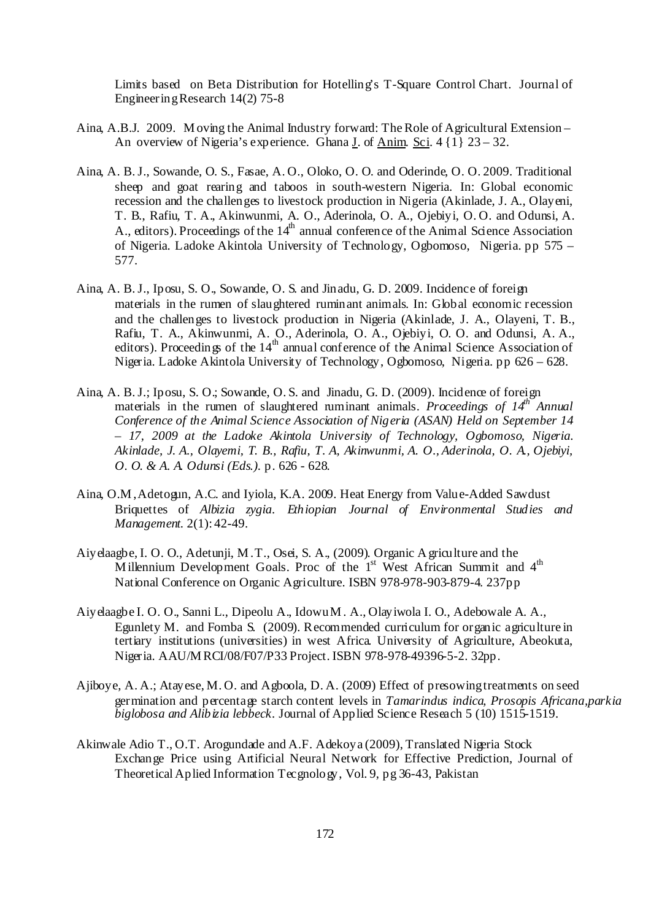Limits based on Beta Distribution for Hotelling's T-Square Control Chart. Journal of Engineering Research 14(2) 75-8

- Aina, A.B.J. 2009. M oving the Animal Industry forward: The Role of Agricultural Extension An overview of Nigeria's experience. Ghana *J*. of <u>Anim. Sci</u>. 4  $\{1\}$  23 – 32.
- Aina, A. B. J., Sowande, O. S., Fasae, A. O., Oloko, O. O. and Oderinde, O. O. 2009. Traditional sheep and goat rearing and taboos in south-western Nigeria. In: Global economic recession and the challenges to livestock production in Nigeria (Akinlade, J. A., Olayeni, T. B., Rafiu, T. A., Akinwunmi, A. O., Aderinola, O. A., Ojebiyi, O. O. and Odunsi, A. A., editors). Proceedings of the  $14<sup>th</sup>$  annual conference of the Animal Science Association of Nigeria. Ladoke Akintola University of Technology, Ogbomoso, Nigeria. pp 575 – 577.
- Aina, A. B. J., Iposu, S. O., Sowande, O. S. and Jinadu, G. D. 2009. Incidence of foreign materials in the rumen of slaughtered ruminant animals. In: Global economic recession and the challenges to livestock production in Nigeria (Akinlade, J. A., Olayeni, T. B., Rafiu, T. A., Akinwunmi, A. O., Aderinola, O. A., Ojebiyi, O. O. and Odunsi, A. A., editors). Proceedings of the 14<sup>th</sup> annual conference of the Animal Science Association of Nigeria. Ladoke Akintola University of Technology, Ogbomoso, Nigeria. pp 626 – 628.
- Aina, A. B. J.; Iposu, S. O.; Sowande, O. S. and Jinadu, G. D. (2009). Incidence of foreign materials in the rumen of slaughtered ruminant animals. *Proceedings of*  $14^{th}$  *Annual Conference of the Animal Science Association of Nigeria (ASAN) Held on September 14 – 17, 2009 at the Ladoke Akintola University of Technology, Ogbomoso, Nigeria. Akinlade, J. A., Olayemi, T. B., Rafiu, T. A, Akinwunmi, A. O., Aderinola, O. A., Ojebiyi, O. O. & A. A. Odunsi (Eds.).* p. 626 - 628.
- Aina, O.M , Adetogun, A.C. and Iyiola, K.A. 2009. Heat Energy from Value-Added Sawdust Briquettes of *Albizia zygia. Ethiopian Journal of Environmental Studies and Management*. 2(1): 42-49.
- Aiyelaagbe, I. O. O., Adetunji, M . T., Osei, S. A., (2009). Organic A griculture and the M illennium Development Goals. Proc of the  $1<sup>st</sup>$  West African Summit and  $4<sup>th</sup>$ National Conference on Organic Agriculture. ISBN 978-978-903-879-4. 237pp
- Aiyelaagbe I. O. O., Sanni L., Dipeolu A., Idowu M . A., Olayiwola I. O., Adebowale A. A., Egunlety M. and Fomba S. (2009). Recommended curriculum for organic agriculture in tertiary institutions (universities) in west Africa. University of Agriculture, Abeokuta, Nigeria. AAU/M RCI/08/F07/P33 Project. ISBN 978-978-49396-5-2. 32pp.
- Ajiboye, A. A.; Atayese, M. O. and Agboola, D. A. (2009) Effect of presowing treatments on seed germination and percentage starch content levels in *Tamarindus indica, Prosopis Africana,parkia biglobosa and Alibizia lebbeck.* Journal of Applied Science Reseach 5 (10) 1515-1519.
- Akinwale Adio T., O.T. Arogundade and A.F. Adekoya (2009), Translated Nigeria Stock Exchange Price using Artificial Neural Network for Effective Prediction, Journal of Theoretical Aplied Information Tecgnology, Vol. 9, pg 36-43, Pakistan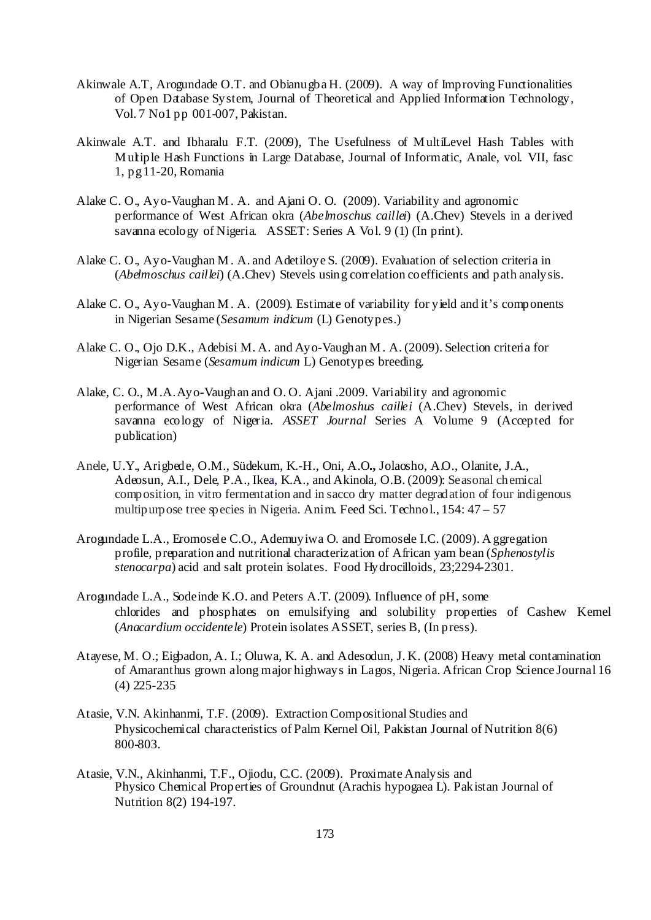- Akinwale A.T, Arogundade O.T. and Obianugba H. (2009). A way of Improving Functionalities of Open Database System, Journal of Theoretical and Applied Information Technology, Vol. 7 No1 pp 001-007, Pakistan.
- Akinwale A.T. and Ibharalu F.T. (2009), The Usefulness of M ultiLevel Hash Tables with M ultiple Hash Functions in Large Database, Journal of Informatic, Anale, vol. VII, fasc 1, pg 11-20, Romania
- Alake C. O., Ayo-Vaughan M . A. and Ajani O. O. (2009). Variability and agronomic performance of West African okra (*Abelmoschus caillei*) (A.Chev) Stevels in a derived savanna ecology of Nigeria. ASSET: Series A Vol. 9 (1) (In print).
- Alake C. O., Ayo-Vaughan M . A. and Adetiloye S. (2009). Evaluation of selection criteria in (*Abelmoschus caillei*) (A.Chev) Stevels using correlation coefficients and path analysis.
- Alake C. O., Ayo-Vaughan M . A. (2009). Estimate of variability for yield and it's components in Nigerian Sesame (*Sesamum indicum* (L) Genotypes.)
- Alake C. O., Ojo D.K., Adebisi M. A. and Ayo-Vaughan M . A. (2009). Selection criteria for Nigerian Sesame (*Sesamum indicum* L) Genotypes breeding.
- Alake, C. O., M .A. Ayo-Vaughan and O. O. Ajani .2009. Variability and agronomic performance of West African okra (*Abelmoshus caillei* (A.Chev) Stevels, in derived savanna ecology of Nigeria. *ASSET Journal* Series A Volume 9 (Accepted for publication)
- Anele, U.Y., Arigbede, O.M., Südekum, K.-H., Oni, A.O**.,** Jolaosho, A.O., Olanite, J.A., Adeosun, A.I., Dele, P.A., Ikea, K.A., and Akinola, O.B. (2009): Seasonal chemical composition, in vitro fermentation and in sacco dry matter degradation of four indigenous multipurpose tree species in Nigeria. Anim. Feed Sci. Technol., 154: 47 – 57
- Arogundade L.A., Eromosele C.O., Ademuyiwa O. and Eromosele I.C. (2009). A ggregation profile, preparation and nutritional characterization of African yam bean (*Sphenostylis stenocarpa*) acid and salt protein isolates. Food Hydrocilloids, 23;2294-2301.
- Arogundade L.A., Sodeinde K.O. and Peters A.T. (2009). Influence of pH, some chlorides and phosphates on emulsifying and solubility properties of Cashew Kernel (*Anacardium occidentele*) Protein isolates ASSET, series B, (In press).
- Atayese, M. O.; Eigbadon, A. I.; Oluwa, K. A. and Adesodun, J. K. (2008) Heavy metal contamination of Amaranthus grown along major highways in Lagos, Nigeria. African Crop Science Journal 16 (4) 225-235
- Atasie, V.N. Akinhanmi, T.F. (2009). Extraction Compositional Studies and Physicochemical characteristics of Palm Kernel Oil, Pakistan Journal of Nutrition 8(6) 800-803.
- Atasie, V.N., Akinhanmi, T.F., Ojiodu, C.C. (2009). Proximate Analysis and Physico Chemical Properties of Groundnut (Arachis hypogaea L). Pakistan Journal of Nutrition 8(2) 194-197.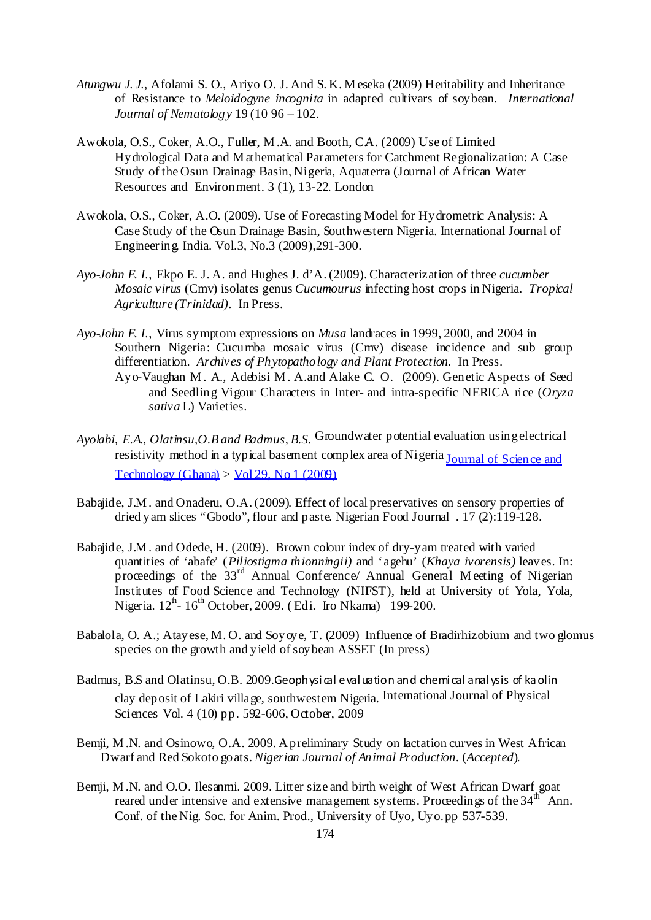- *Atungwu J. J.*, Afolami S. O., Ariyo O. J. And S. K. M eseka (2009) Heritability and Inheritance of Resistance to *Meloidogyne incognita* in adapted cultivars of soybean. *International Journal of Nematology* 19 (10 96 – 102.
- Awokola, O.S., Coker, A.O., Fuller, M .A. and Booth, C.A. (2009) Use of Limited Hydrological Data and M athematical Parameters for Catchment Regionalization: A Case Study of the Osun Drainage Basin, Nigeria, Aquaterra (Journal of African Water Resources and Environment. 3 (1), 13-22. London
- Awokola, O.S., Coker, A.O. (2009). Use of Forecasting Model for Hydrometric Analysis: A Case Study of the Osun Drainage Basin, Southwestern Nigeria. International Journal of Engineering. India. Vol.3, No.3 (2009),291-300.
- *Ayo-John E. I.*, Ekpo E. J. A. and Hughes J. d'A. (2009). Characterization of three *cucumber Mosaic virus* (Cmv) isolates genus *Cucumourus* infecting host crops in Nigeria. *Tropical Agriculture (Trinidad)*. In Press.
- *Ayo-John E. I.*, Virus symptom expressions on *Musa* landraces in 1999, 2000, and 2004 in Southern Nigeria: Cucumba mosaic virus (Cmv) disease incidence and sub group differentiation. *Archives of Phytopathology and Plant Protection.* In Press. Ayo-Vaughan M . A., Adebisi M . A.and Alake C. O. (2009). Genetic Aspects of Seed and Seedling Vigour Characters in Inter- and intra-specific NERICA rice (*Oryza sativa* L) Varieties.
- *Ayolabi, E.A., Olatinsu,O.B and Badmus, B.S.* Groundwater potential evaluation using electrical resistivity method in a typical basement complex area of Nigeria Journal of Science and  $Technology (Ghana) > Vol 29, No 1 (2009)$
- Babajide, J.M . and Onaderu, O.A. (2009). Effect of local preservatives on sensory properties of dried yam slices "Gbodo", flour and paste. Nigerian Food Journal . 17 (2):119-128.
- Babajide, J.M . and Odede, H. (2009). Brown colour index of dry-yam treated with varied quantities of 'abafe' (*Piliostigma thionningii)* and 'agehu' (*Khaya ivorensis)* leaves. In: proceedings of the 33<sup>rd</sup> Annual Conference/ Annual General Meeting of Nigerian Institutes of Food Science and Technology (NIFST), held at University of Yola, Yola, Nigeria.  $12^{th}$ - 16<sup>th</sup> October, 2009. (Edi. Iro Nkama) 199-200.
- Babalola, O. A.; Atayese, M. O. and Soyove, T. (2009) Influence of Bradirhizobium and two glomus species on the growth and yield of soybean ASSET (In press)
- Badmus, B.S and Olatinsu, O.B. 2009.Geophysical evaluation and chemical analysis of ka olin clay deposit of Lakiri village, southwestern Nigeria. International Journal of Physical Sciences Vol. 4 (10) pp. 592-606, October, 2009
- Bemji, M .N. and Osinowo, O.A. 2009. A preliminary Study on lactation curves in West African Dwarf and Red Sokoto goats. *Nigerian Journal of Animal Production*. (*Accepted*).
- Bemji, M .N. and O.O. Ilesanmi. 2009. Litter size and birth weight of West African Dwarf goat reared under intensive and extensive management systems. Proceedings of the  $34<sup>th</sup>$  Ann. Conf. of the Nig. Soc. for Anim. Prod., University of Uyo, Uyo. pp 537-539.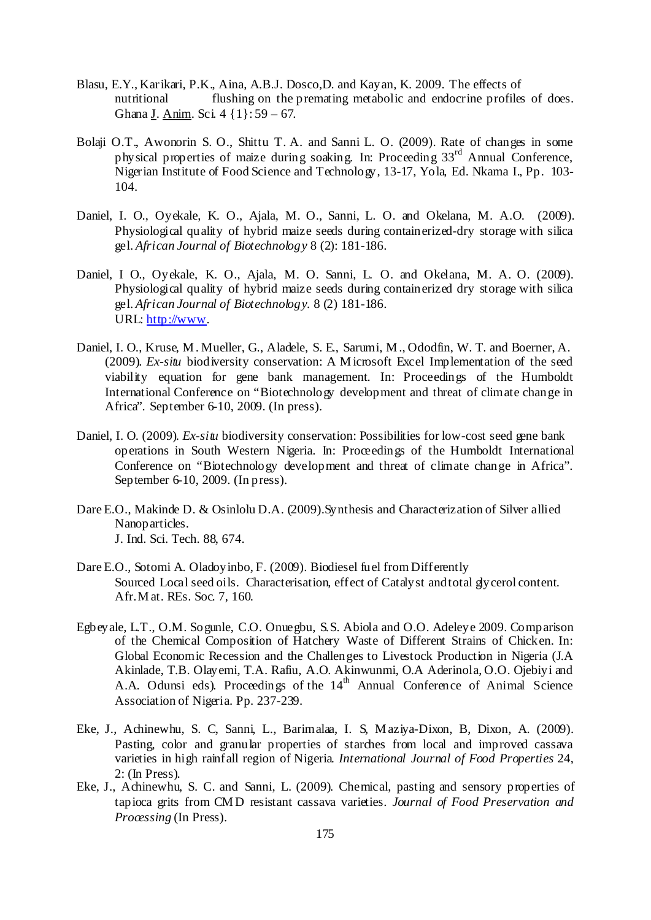- Blasu, E.Y., Karikari, P.K., Aina, A.B.J. Dosco,D. and Kayan, K. 2009. The effects of nutritional flushing on the premating metabolic and endocrine profiles of does. Ghana J. Anim. Sci. 4 {1}: 59 – 67.
- Bolaji O.T., Awonorin S. O., Shittu T. A. and Sanni L. O. (2009). Rate of changes in some physical properties of maize during soaking. In: Proceeding 33rd Annual Conference, Nigerian Institute of Food Science and Technology, 13-17, Yola, Ed. Nkama I., Pp. 103- 104.
- Daniel, I. O., Oyekale, K. O., Ajala, M. O., Sanni, L. O. and Okelana, M. A.O. (2009). Physiological quality of hybrid maize seeds during containerized-dry storage with silica gel. *African Journal of Biotechnology* 8 (2): 181-186.
- Daniel, I O., Oyekale, K. O., Ajala, M. O. Sanni, L. O. and Okelana, M. A. O. (2009). Physiological quality of hybrid maize seeds during containerized dry storage with silica gel. *African Journal of Biotechnology.* 8 (2) 181-186. URL: http://www.
- Daniel, I. O., Kruse, M . Mueller, G., Aladele, S. E., Sarumi, M ., Ododfin, W. T. and Boerner, A. (2009). *Ex-situ* biodiversity conservation: A M icrosoft Excel Implementation of the seed viability equation for gene bank management. In: Proceedings of the Humboldt International Conference on "Biotechnology development and threat of climate change in Africa". September 6-10, 2009. (In press).
- Daniel, I. O. (2009). *Ex-situ* biodiversity conservation: Possibilities for low-cost seed gene bank operations in South Western Nigeria. In: Proceedings of the Humboldt International Conference on "Biotechnology development and threat of climate change in Africa". September 6-10, 2009. (In press).
- Dare E.O., Makinde D. & Osinlolu D.A. (2009).Synthesis and Characterization of Silver allied Nanoparticles. J. Ind. Sci. Tech. 88, 674.
- Dare E.O., Sotomi A. Oladoyinbo, F. (2009). Biodiesel fuel from Differently Sourced Local seed oils. Characterisation, effect of Catalyst and total glycerol content. Afr. M at. REs. Soc. 7, 160.
- Egbeyale, L.T., O.M. Sogunle, C.O. Onuegbu, S.S. Abiola and O.O. Adeleye 2009. Comparison of the Chemical Composition of Hatchery Waste of Different Strains of Chicken. In: Global Economic Recession and the Challenges to Livestock Production in Nigeria (J.A Akinlade, T.B. Olayemi, T.A. Rafiu, A.O. Akinwunmi, O.A Aderinola, O.O. Ojebiyi and A.A. Odunsi eds). Proceedings of the 14<sup>th</sup> Annual Conference of Animal Science Association of Nigeria. Pp. 237-239.
- Eke, J., Achinewhu, S. C, Sanni, L., Barimalaa, I. S, M aziya-Dixon, B, Dixon, A. (2009). Pasting, color and granular properties of starches from local and improved cassava varieties in high rainfall region of Nigeria. *International Journal of Food Properties* 24, 2: (In Press).
- Eke, J., Achinewhu, S. C. and Sanni, L. (2009). Chemical, pasting and sensory properties of tapioca grits from CM D resistant cassava varieties. *Journal of Food Preservation and Processing* (In Press).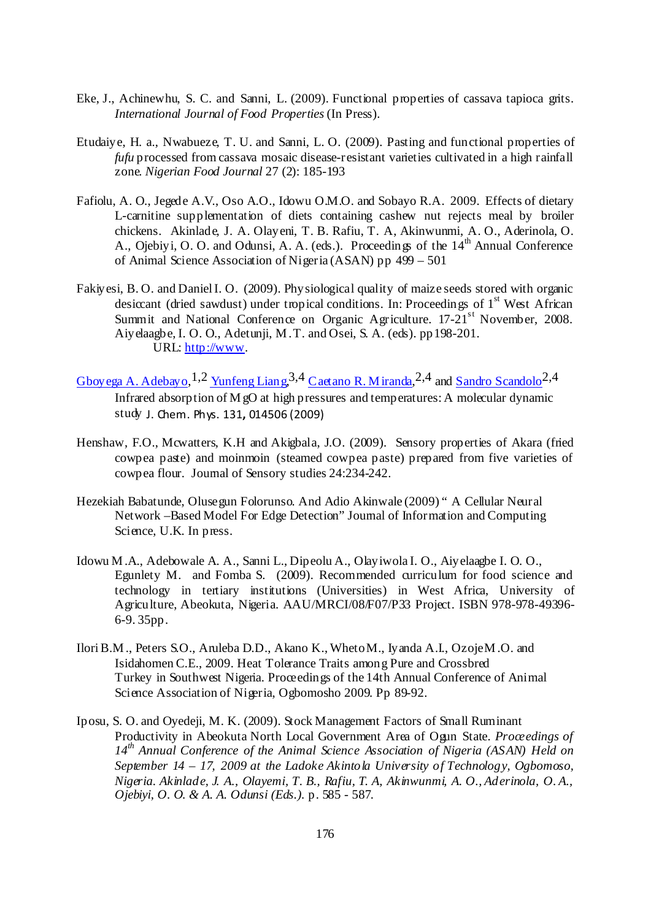- Eke, J., Achinewhu, S. C. and Sanni, L. (2009). Functional properties of cassava tapioca grits. *International Journal of Food Properties* (In Press).
- Etudaiye, H. a., Nwabueze, T. U. and Sanni, L. O. (2009). Pasting and functional properties of *fufu* processed from cassava mosaic disease-resistant varieties cultivated in a high rainfall zone. *Nigerian Food Journal* 27 (2): 185-193
- Fafiolu, A. O., Jegede A.V., Oso A.O., Idowu O.M.O. and Sobayo R.A. 2009. Effects of dietary L-carnitine supplementation of diets containing cashew nut rejects meal by broiler chickens. Akinlade, J. A. Olayeni, T. B. Rafiu, T. A, Akinwunmi, A. O., Aderinola, O. A., Ojebiyi, O. O. and Odunsi, A. A. (eds.). Proceedings of the 14<sup>th</sup> Annual Conference of Animal Science Association of Nigeria (ASAN) pp 499 – 501
- Fakiyesi, B. O. and Daniel I. O. (2009). Physiological quality of maize seeds stored with organic desiccant (dried sawdust) under tropical conditions. In: Proceedings of  $1<sup>st</sup>$  West African Summit and National Conference on Organic Agriculture.  $17-21$ <sup>st</sup> November, 2008. Aiyelaagbe, I. O. O., Adetunji, M . T. and Osei, S. A. (eds). pp198-201. URL: http://www.
- Gboyega A. Adebayo, <sup>1, 2</sup> Yunfeng Liang, <sup>3, 4</sup> Caetano R. Miranda, <sup>2, 4</sup> and Sandro Scandolo<sup>2, 4</sup> Infrared absorption of M gO at high pressures and temperatures: A molecular dynamic study J. Chem. Phys. 131**,** 014506 (2009)
- Henshaw, F.O., Mcwatters, K.H and Akigbala, J.O. (2009). Sensory properties of Akara (fried cowpea paste) and moinmoin (steamed cowpea paste) prepared from five varieties of cowpea flour. Journal of Sensory studies 24:234-242.
- Hezekiah Babatunde, Olusegun Folorunso. And Adio Akinwale (2009) " A Cellular Neural Network –Based Model For Edge Detection" Journal of Information and Computing Science, U.K. In press.
- Idowu M .A., Adebowale A. A., Sanni L., Dipeolu A., Olayiwola I. O., Aiyelaagbe I. O. O., Egunlety M. and Fomba S. (2009). Recommended curriculum for food science and technology in tertiary institutions (Universities) in West Africa, University of Agriculture, Abeokuta, Nigeria. AAU/MRCI/08/F07/P33 Project. ISBN 978-978-49396- 6-9. 35pp.
- Ilori B.M ., Peters S.O., Aruleba D.D., Akano K., Wheto M., Iyanda A.I., Ozoje M .O. and Isidahomen C.E., 2009. Heat Tolerance Traits among Pure and Crossbred Turkey in Southwest Nigeria. Proceedings of the 14th Annual Conference of Animal Science Association of Nigeria, Ogbomosho 2009. Pp 89-92.
- Iposu, S. O. and Oyedeji, M. K. (2009). Stock Management Factors of Small Ruminant Productivity in Abeokuta North Local Government Area of Ogun State. *Proceedings of 14th Annual Conference of the Animal Science Association of Nigeria (ASAN) Held on September 14 – 17, 2009 at the Ladoke Akintola University of Technology, Ogbomoso, Nigeria. Akinlade, J. A., Olayemi, T. B., Rafiu, T. A, Akinwunmi, A. O., Aderinola, O. A., Ojebiyi, O. O. & A. A. Odunsi (Eds.).* p. 585 - 587.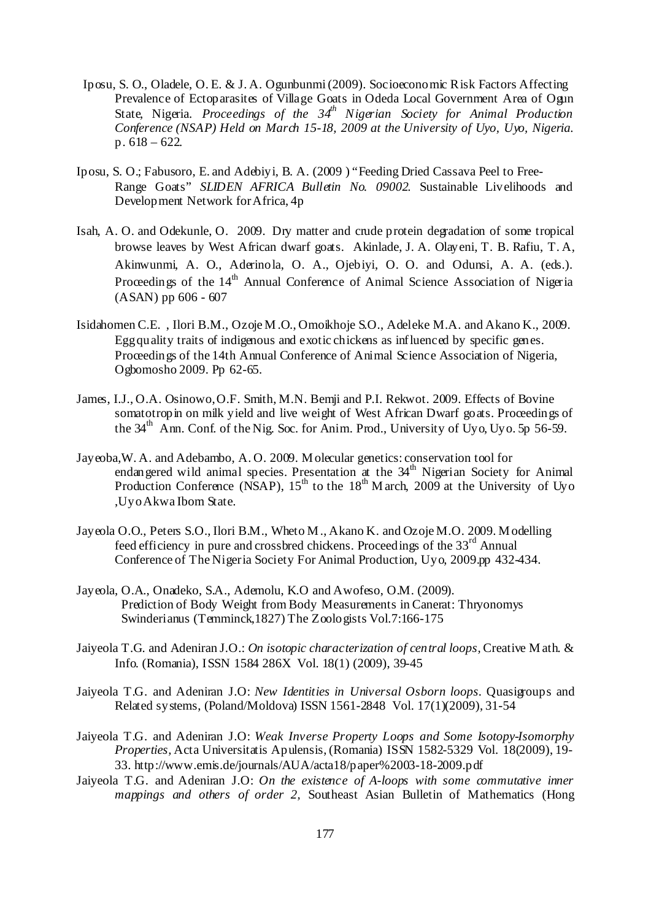- Iposu, S. O., Oladele, O. E. & J. A. Ogunbunmi (2009). Socioeconomic Risk Factors Affecting Prevalence of Ectoparasites of Village Goats in Odeda Local Government Area of Ogun State, Nigeria. *Proceedings of the 34<sup>th</sup> Nigerian Society for Animal Production Conference (NSAP) Held on March 15-18, 2009 at the University of Uyo, Uyo, Nigeria.*  p. 618 – 622.
- Iposu, S. O.; Fabusoro, E. and Adebiyi, B. A. (2009 ) "Feeding Dried Cassava Peel to Free-Range Goats" *SLIDEN AFRICA Bulletin No. 09002*. Sustainable Livelihoods and Development Network for Africa, 4p
- Isah, A. O. and Odekunle, O. 2009. Dry matter and crude protein degradation of some tropical browse leaves by West African dwarf goats. Akinlade, J. A. Olayeni, T. B. Rafiu, T. A, Akinwunmi, A. O., Aderinola, O. A., Ojebiyi, O. O. and Odunsi, A. A. (eds.). Proceedings of the  $14<sup>th</sup>$  Annual Conference of Animal Science Association of Nigeria (ASAN) pp 606 - 607
- Isidahomen C.E. , Ilori B.M., Ozoje M .O., Omoikhoje S.O., Adeleke M.A. and Akano K., 2009. Egg quality traits of indigenous and exotic chickens as influenced by specific genes. Proceedings of the 14th Annual Conference of Animal Science Association of Nigeria, Ogbomosho 2009. Pp 62-65.
- James, I.J., O.A. Osinowo, O.F. Smith, M.N. Bemji and P.I. Rekwot. 2009. Effects of Bovine somatotropin on milk yield and live weight of West African Dwarf goats. Proceedings of the 34<sup>th</sup> Ann. Conf. of the Nig. Soc. for Anim. Prod., University of Uyo, Uyo. 5p 56-59.
- Jayeoba,W. A. and Adebambo, A. O. 2009. M olecular genetics: conservation tool for endangered wild animal species. Presentation at the  $34<sup>th</sup>$  Nigerian Society for Animal Production Conference (NSAP),  $15^{th}$  to the  $18^{th}$  M arch, 2009 at the University of Uyo ,Uyo Akwa Ibom State.
- Jayeola O.O., Peters S.O., Ilori B.M., Wheto M ., Akano K. and Ozoje M.O. 2009. M odelling feed efficiency in pure and crossbred chickens. Proceedings of the 33<sup>rd</sup> Annual Conference of The Nigeria Society For Animal Production, Uyo, 2009.pp 432-434.
- Jayeola, O.A., Onadeko, S.A., Ademolu, K.O and Awofeso, O.M. (2009). Prediction of Body Weight from Body Measurements in Canerat: Thryonomys Swinderianus (Temminck,1827) The Zoologists Vol.7:166-175
- Jaiyeola T.G. and Adeniran J.O.: *On isotopic characterization of central loops,* Creative M ath. & Info. (Romania), ISSN 1584 286X Vol. 18(1) (2009), 39-45
- Jaiyeola T.G. and Adeniran J.O: *New Identities in Universal Osborn loops.* Quasigroups and Related systems, (Poland/Moldova) ISSN 1561-2848 Vol. 17(1)(2009), 31-54
- Jaiyeola T.G. and Adeniran J.O: *Weak Inverse Property Loops and Some Isotopy-Isomorphy Properties, Acta Universitatis Apulensis, (Romania) ISSN 1582-5329 Vol. 18(2009), 19-*33. http://www.emis.de/journals/AUA/acta18/paper%2003-18-2009.pdf
- Jaiyeola T.G. and Adeniran J.O: *On the existence of A-loops with some commutative inner mappings and others of order 2,* Southeast Asian Bulletin of Mathematics (Hong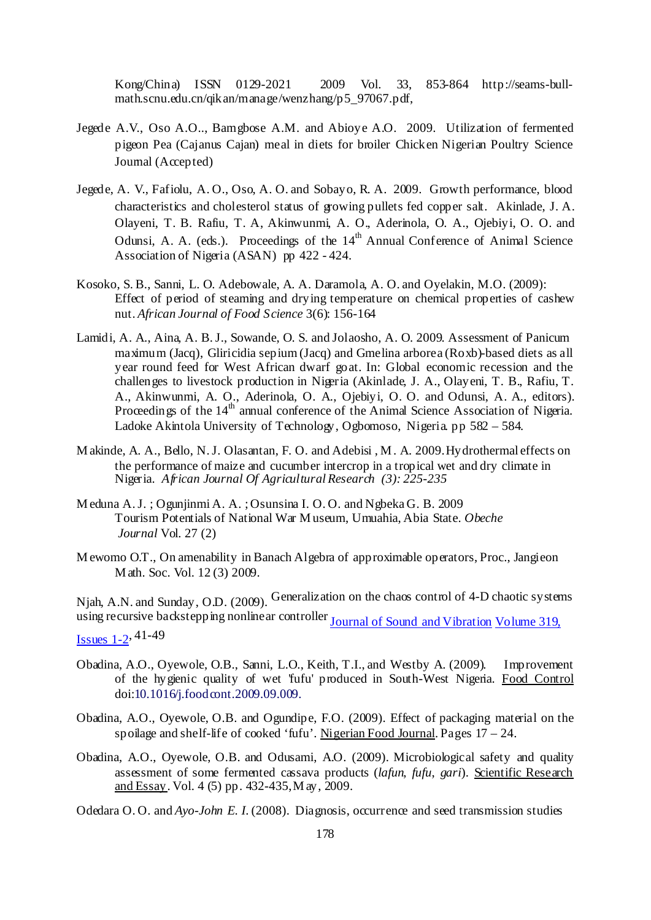Kong/China) ISSN 0129-2021 2009 Vol. 33, 853-864 http://seams-bullmath.scnu.edu.cn/qikan/manage/wenzhang/p5\_97067.pdf,

- Jegede A.V., Oso A.O.., Bamgbose A.M. and Abioye A.O. 2009. Utilization of fermented pigeon Pea (Cajanus Cajan) meal in diets for broiler Chicken Nigerian Poultry Science Journal (Accepted)
- Jegede, A. V., Fafiolu, A. O., Oso, A. O. and Sobayo, R. A. 2009. Growth performance, blood characteristics and cholesterol status of growing pullets fed copper salt. Akinlade, J. A. Olayeni, T. B. Rafiu, T. A, Akinwunmi, A. O., Aderinola, O. A., Ojebiyi, O. O. and Odunsi, A. A. (eds.). Proceedings of the  $14<sup>th</sup>$  Annual Conference of Animal Science Association of Nigeria (ASAN) pp 422 - 424.
- Kosoko, S. B., Sanni, L. O. Adebowale, A. A. Daramola, A. O. and Oyelakin, M.O. (2009): Effect of period of steaming and drying temperature on chemical properties of cashew nut. *African Journal of Food Science* 3(6): 156-164
- Lamidi, A. A., Aina, A. B. J., Sowande, O. S. and Jolaosho, A. O. 2009. Assessment of Panicum maximum (Jacq), Gliricidia sepium (Jacq) and Gmelina arborea (Roxb)-based diets as all year round feed for West African dwarf goat. In: Global economic recession and the challenges to livestock production in Nigeria (Akinlade, J. A., Olayeni, T. B., Rafiu, T. A., Akinwunmi, A. O., Aderinola, O. A., Ojebiyi, O. O. and Odunsi, A. A., editors). Proceedings of the 14<sup>th</sup> annual conference of the Animal Science Association of Nigeria. Ladoke Akintola University of Technology, Ogbomoso, Nigeria. pp 582 – 584.
- M akinde, A. A., Bello, N. J. Olasantan, F. O. and Adebisi , M . A. 2009. Hydrothermal effects on the performance of maize and cucumber intercrop in a tropical wet and dry climate in Nigeria. *African Journal Of Agricultural Research (3): 225-235*
- M eduna A. J. ; Ogunjinmi A. A. ; Osunsina I. O. O. and Ngbeka G. B. 2009 Tourism Potentials of National War M useum, Umuahia, Abia State. *Obeche Journal* Vol. 27 (2)
- M ewomo O.T., On amenability in Banach Algebra of approximable operators, Proc., Jangieon M ath. Soc. Vol. 12 (3) 2009.

Njah, A.N. and Sunday, O.D. (2009). Generalization on the chaos control of 4-D chaotic systems using recursive backstepping nonlinear controller Journal of Sound and Vibration Volume 319,

Issues 1-2, 41-49

- Obadina, A.O., Oyewole, O.B., Sanni, L.O., Keith, T.I., and Westby A. (2009). Improvement of the hygienic quality of wet 'fufu' produced in South-West Nigeria. Food Control doi:10.1016/j.foodcont.2009.09.009.
- Obadina, A.O., Oyewole, O.B. and Ogundipe, F.O. (2009). Effect of packaging material on the spoilage and shelf-life of cooked 'fufu'. Nigerian Food Journal. Pages  $17 - 24$ .
- Obadina, A.O., Oyewole, O.B. and Odusami, A.O. (2009). Microbiological safety and quality assessment of some fermented cassava products (*lafun*, *fufu*, *gari*). Scientific Research and Essay. Vol. 4 (5) pp. 432-435, M ay, 2009.
- Odedara O. O. and *Ayo-John E. I.* (2008). Diagnosis, occurrence and seed transmission studies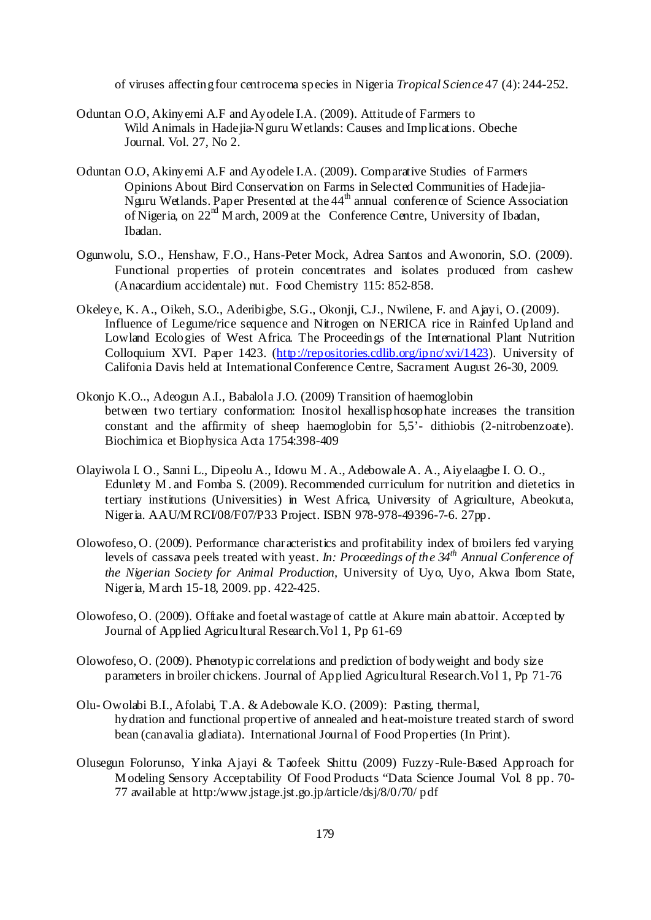of viruses affecting four centrocema species in Nigeria *Tropical Science* 47 (4): 244-252.

- Oduntan O.O, Akinyemi A.F and Ayodele I.A. (2009). Attitude of Farmers to Wild Animals in Hadejia-N guru Wetlands: Causes and Implications. Obeche Journal. Vol. 27, No 2.
- Oduntan O.O, Akinyemi A.F and Ayodele I.A. (2009). Comparative Studies of Farmers Opinions About Bird Conservation on Farms in Selected Communities of Hadejia-Nguru Wetlands. Paper Presented at the 44<sup>th</sup> annual conference of Science Association of Nigeria, on  $22<sup>nd</sup>$  M arch, 2009 at the Conference Centre, University of Ibadan, Ibadan.
- Ogunwolu, S.O., Henshaw, F.O., Hans-Peter Mock, Adrea Santos and Awonorin, S.O. (2009). Functional properties of protein concentrates and isolates produced from cashew (Anacardium accidentale) nut. Food Chemistry 115: 852-858.
- Okeleye, K. A., Oikeh, S.O., Aderibigbe, S.G., Okonji, C.J., Nwilene, F. and Ajayi, O. (2009). Influence of Legume/rice sequence and Nitrogen on NERICA rice in Rainfed Upland and Lowland Ecologies of West Africa. The Proceedings of the International Plant Nutrition Colloquium XVI. Paper 1423. (http://repositories.cdlib.org/ipnc/xvi/1423). University of Califonia Davis held at International Conference Centre, Sacrament August 26-30, 2009.
- Okonjo K.O.., Adeogun A.I., Babalola J.O. (2009) Transition of haemoglobin between two tertiary conformation: Inositol hexallisphosophate increases the transition constant and the affirmity of sheep haemoglobin for 5,5'- dithiobis (2-nitrobenzoate). Biochimica et Biophysica Acta 1754:398-409
- Olayiwola I. O., Sanni L., Dipeolu A., Idowu M . A., Adebowale A. A., Aiyelaagbe I. O. O., Edunlety M . and Fomba S. (2009). Recommended curriculum for nutrition and dietetics in tertiary institutions (Universities) in West Africa, University of Agriculture, Abeokuta, Nigeria. AAU/M RCI/08/F07/P33 Project. ISBN 978-978-49396-7-6. 27pp.
- Olowofeso, O. (2009). Performance characteristics and profitability index of broilers fed varying levels of cassava peels treated with yeast. *In: Proceedings of the 34th Annual Conference of the Nigerian Society for Animal Production,* University of Uyo, Uyo, Akwa Ibom State, Nigeria*,* M arch 15-18, 2009. pp. 422-425.
- Olowofeso, O. (2009). Offtake and foetal wastage of cattle at Akure main abattoir. Accepted by Journal of Applied Agricultural Research.Vol 1, Pp 61-69
- Olowofeso, O. (2009). Phenotypic correlations and prediction of bodyweight and body size parameters in broiler chickens. Journal of Applied Agricultural Research.Vol 1, Pp 71-76
- Olu- Owolabi B.I., Afolabi, T.A. & Adebowale K.O. (2009): Pasting, thermal, hydration and functional propertive of annealed and heat-moisture treated starch of sword bean (canavalia gladiata). International Journal of Food Properties (In Print).
- Olusegun Folorunso, Yinka Ajayi & Taofeek Shittu (2009) Fuzzy-Rule-Based Approach for M odeling Sensory Acceptability Of Food Products "Data Science Journal Vol. 8 pp. 70- 77 available at http:/www.jstage.jst.go.jp/article/dsj/8/0/70/ pdf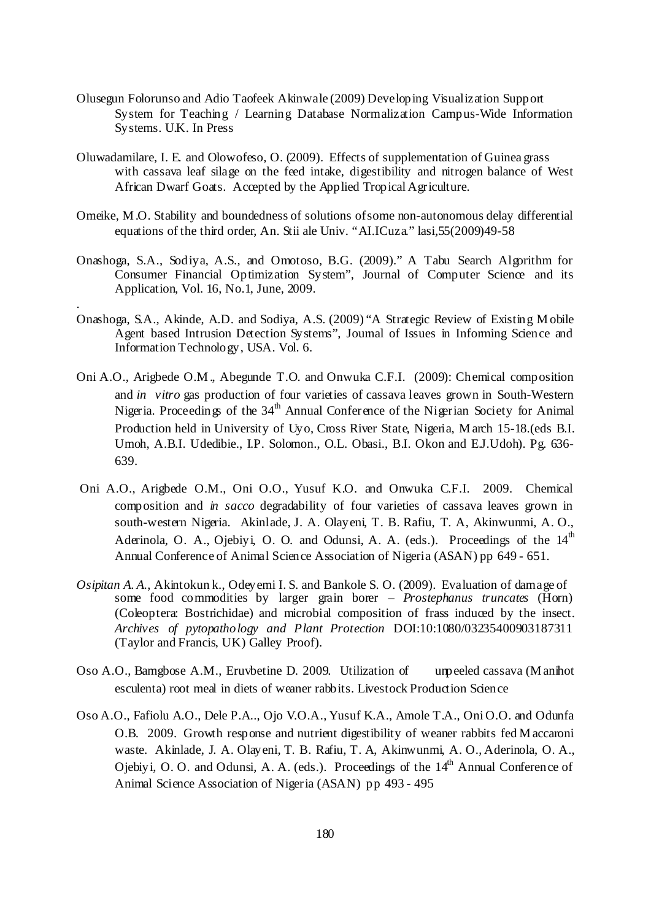- Olusegun Folorunso and Adio Taofeek Akinwale (2009) Developing Visualization Support System for Teaching / Learning Database Normalization Campus-Wide Information Systems. U.K. In Press
- Oluwadamilare, I. E. and Olowofeso, O. (2009). Effects of supplementation of Guinea grass with cassava leaf silage on the feed intake, digestibility and nitrogen balance of West African Dwarf Goats. Accepted by the Applied Tropical Agriculture.
- Omeike, M .O. Stability and boundedness of solutions of some non-autonomous delay differential equations of the third order, An. Stii ale Univ. "AI.ICuza." lasi,55(2009)49-58
- Onashoga, S.A., Sodiya, A.S., and Omotoso, B.G. (2009)." A Tabu Search Algorithm for Consumer Financial Optimization System", Journal of Computer Science and its Application, Vol. 16, No.1, June, 2009.

.

- Onashoga, S.A., Akinde, A.D. and Sodiya, A.S. (2009) "A Strategic Review of Existing M obile Agent based Intrusion Detection Systems", Journal of Issues in Informing Science and Information Technology, USA. Vol. 6.
- Oni A.O., Arigbede O.M ., Abegunde T.O. and Onwuka C.F.I. (2009): Chemical composition and *in vitro* gas production of four varieties of cassava leaves grown in South-Western Nigeria. Proceedings of the  $34<sup>th</sup>$  Annual Conference of the Nigerian Society for Animal Production held in University of Uyo, Cross River State, Nigeria, M arch 15-18.(eds B.I. Umoh, A.B.I. Udedibie., I.P. Solomon., O.L. Obasi., B.I. Okon and E.J.Udoh). Pg. 636-639.
- Oni A.O., Arigbede O.M., Oni O.O., Yusuf K.O. and Onwuka C.F.I. 2009. Chemical composition and *in sacco* degradability of four varieties of cassava leaves grown in south-western Nigeria. Akinlade, J. A. Olayeni, T. B. Rafiu, T. A, Akinwunmi, A. O., Aderinola, O. A., Ojebiyi, O. O. and Odunsi, A. A. (eds.). Proceedings of the  $14<sup>th</sup>$ Annual Conference of Animal Science Association of Nigeria (ASAN) pp 649 - 651.
- *Osipitan A. A.*, Akintokun k., Odeyemi I. S. and Bankole S. O. (2009). Evaluation of damage of some food commodities by larger grain borer – *Prostephanus truncates* (Horn) (Coleoptera: Bostrichidae) and microbial composition of frass induced by the insect. *Archives of pytopathology and Plant Protection* DOI:10:1080/03235400903187311 (Taylor and Francis, UK) Galley Proof).
- Oso A.O., Bamgbose A.M., Eruvbetine D. 2009. Utilization of unpeeled cassava (M anihot esculenta) root meal in diets of weaner rabbits. Livestock Production Science
- Oso A.O., Fafiolu A.O., Dele P.A.., Ojo V.O.A., Yusuf K.A., Amole T.A., Oni O.O. and Odunfa O.B. 2009. Growth response and nutrient digestibility of weaner rabbits fed M accaroni waste. Akinlade, J. A. Olayeni, T. B. Rafiu, T. A, Akinwunmi, A. O., Aderinola, O. A., Ojebiyi, O. O. and Odunsi, A. A. (eds.). Proceedings of the  $14<sup>th</sup>$  Annual Conference of Animal Science Association of Nigeria (ASAN) pp 493 - 495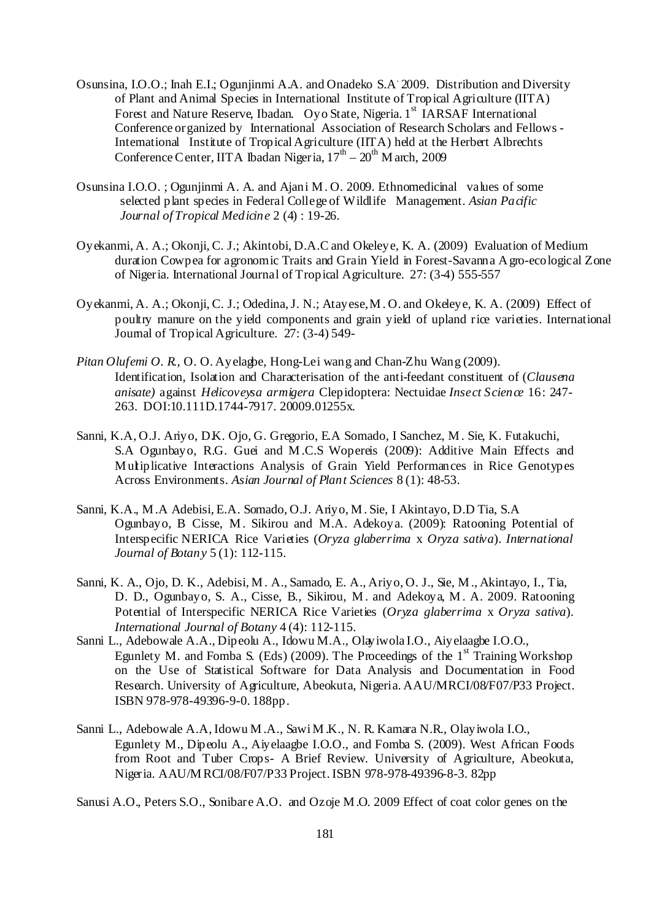- Osunsina, I.O.O.; Inah E.I.; Ogunjinmi A.A. and Onadeko S.A. 2009. Distribution and Diversity of Plant and Animal Species in International Institute of Tropical Agriculture (IITA) Forest and Nature Reserve, Ibadan. Oyo State, Nigeria. 1<sup>st</sup> IARSAF International Conference organized by International Association of Research Scholars and Fellows - International Institute of Tropical Agriculture (IITA) held at the Herbert Albrechts Conference Center, IITA Ibadan Nigeria,  $17<sup>th</sup> - 20<sup>th</sup>$  M arch, 2009
- Osunsina I.O.O. ; Ogunjinmi A. A. and Ajani M . O. 2009. Ethnomedicinal values of some selected plant species in Federal College of Wildlife Management. *Asian Pacific Journal of Tropical Medicine* 2 (4) : 19-26.
- Oyekanmi, A. A.; Okonji, C. J.; Akintobi, D.A.C and Okeleye, K. A. (2009) Evaluation of Medium duration Cowpea for agronomic Traits and Grain Yield in Forest-Savanna A gro-ecological Zone of Nigeria. International Journal of Tropical Agriculture. 27: (3-4) 555-557
- Oyekanmi, A. A.; Okonji, C. J.; Odedina, J. N.; Atayese, M . O. and Okeleye, K. A. (2009) Effect of poultry manure on the yield components and grain yield of upland rice varieties. International Journal of Tropical Agriculture. 27: (3-4) 549-
- *Pitan Olufemi O. R.*, O. O. Ayelagbe, Hong-Lei wang and Chan-Zhu Wang (2009). Identification, Isolation and Characterisation of the anti-feedant constituent of (*Clausena anisate)* against *Helicoveysa armigera* Clepidoptera: Nectuidae *Insect Science* 16: 247- 263. DOI:10.111D.1744-7917. 20009.01255x.
- Sanni, K.A, O.J. Ariyo, D.K. Ojo, G. Gregorio, E.A Somado, I Sanchez, M . Sie, K. Futakuchi, S.A Ogunbayo, R.G. Guei and M .C.S Wopereis (2009): Additive Main Effects and M ultiplicative Interactions Analysis of Grain Yield Performances in Rice Genotypes Across Environments. *Asian Journal of Plant Sciences* 8 (1): 48-53.
- Sanni, K.A., M .A Adebisi, E.A. Somado, O.J. Ariyo, M . Sie, I Akintayo, D.D Tia, S.A Ogunbayo, B Cisse, M. Sikirou and M.A. Adekoya. (2009): Ratooning Potential of Interspecific NERICA Rice Varieties (*Oryza glaberrima* x *Oryza sativa*). *International Journal of Botany* 5 (1): 112-115.
- Sanni, K. A., Ojo, D. K., Adebisi, M . A., Samado, E. A., Ariyo, O. J., Sie, M ., Akintayo, I., Tia, D. D., Ogunbayo, S. A., Cisse, B., Sikirou, M . and Adekoya, M . A. 2009. Ratooning Potential of Interspecific NERICA Rice Varieties (*Oryza glaberrima* x *Oryza sativa*). *International Journal of Botany* 4 (4): 112-115.
- Sanni L., Adebowale A.A., Dipeolu A., Idowu M.A., Olayiwola I.O., Aiyelaagbe I.O.O., Egunlety M. and Fomba S. (Eds) (2009). The Proceedings of the  $1<sup>st</sup>$  Training Workshop on the Use of Statistical Software for Data Analysis and Documentation in Food Research. University of Agriculture, Abeokuta, Nigeria. AAU/MRCI/08/F07/P33 Project. ISBN 978-978-49396-9-0. 188pp.
- Sanni L., Adebowale A.A, Idowu M .A., Sawi M .K., N. R. Kamara N.R., Olayiwola I.O., Egunlety M., Dipeolu A., Aiyelaagbe I.O.O., and Fomba S. (2009). West African Foods from Root and Tuber Crops- A Brief Review. University of Agriculture, Abeokuta, Nigeria. AAU/M RCI/08/F07/P33 Project. ISBN 978-978-49396-8-3. 82pp

Sanusi A.O., Peters S.O., Sonibare A.O. and Ozoje M .O. 2009 Effect of coat color genes on the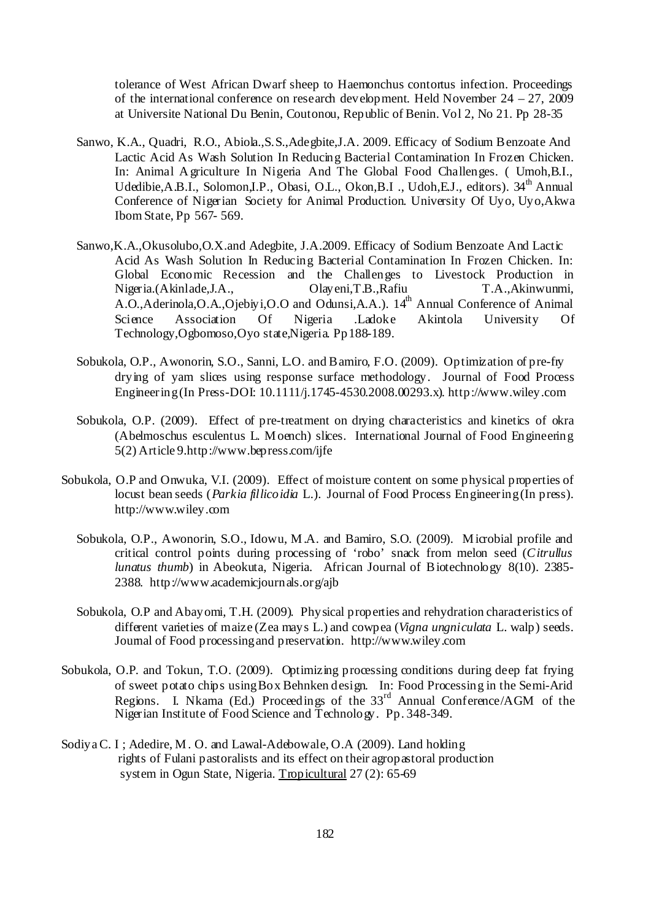tolerance of West African Dwarf sheep to Haemonchus contortus infection. Proceedings of the international conference on research development. Held November 24 – 27, 2009 at Universite National Du Benin, Coutonou, Republic of Benin. Vol 2, No 21. Pp 28-35

- Sanwo, K.A., Quadri, R.O., Abiola.,S.S.,Adegbite,J.A. 2009. Efficacy of Sodium Benzoate And Lactic Acid As Wash Solution In Reducing Bacterial Contamination In Frozen Chicken. In: Animal A griculture In Nigeria And The Global Food Challenges. ( Umoh,B.I., Udedibie, A.B.I., Solomon, I.P., Obasi, O.L., Okon, B.I., Udoh, E.L., editors).  $34<sup>th</sup>$  Annual Conference of Nigerian Society for Animal Production. University Of Uyo, Uyo,Akwa Ibom State, Pp 567- 569.
- Sanwo,K.A.,Okusolubo,O.X.and Adegbite, J.A.2009. Efficacy of Sodium Benzoate And Lactic Acid As Wash Solution In Reducing Bacterial Contamination In Frozen Chicken. In: Global Economic Recession and the Challenges to Livestock Production in Nigeria.(Akinlade,J.A., Olayeni,T.B.,Rafiu T.A.,Akinwunmi, A.O.,Aderinola,O.A.,Ojebiyi,O.O and Odunsi,A.A.). 14<sup>th</sup> Annual Conference of Animal Science Association Of Nigeria .Ladoke Akintola University Of Technology,Ogbomoso,Oyo state,Nigeria. Pp188-189.
- Sobukola, O.P., Awonorin, S.O., Sanni, L.O. and Bamiro, F.O. (2009). Optimization of pre-fry drying of yam slices using response surface methodology. Journal of Food Process Engineering (In Press-DOI: 10.1111/j.1745-4530.2008.00293.x). http://www.wiley.com
- Sobukola, O.P. (2009). Effect of pre-treatment on drying characteristics and kinetics of okra (Abelmoschus esculentus L. M oench) slices. International Journal of Food Engineering 5(2) Article 9.http://www.bepress.com/ijfe
- Sobukola, O.P and Onwuka, V.I. (2009). Effect of moisture content on some physical properties of locust bean seeds (*Parkia fillicoidia* L.). Journal of Food Process Engineering (In press). http://www.wiley.com
	- Sobukola, O.P., Awonorin, S.O., Idowu, M .A. and Bamiro, S.O. (2009). M icrobial profile and critical control points during processing of 'robo' snack from melon seed (*Citrullus lunatus thumb*) in Abeokuta, Nigeria. African Journal of Biotechnology 8(10). 2385- 2388. http://www.academicjournals.org/ajb
	- Sobukola, O.P and Abayomi, T.H. (2009). Physical properties and rehydration characteristics of different varieties of maize (Zea mays L.) and cowpea (*Vigna ungniculata* L. walp) seeds. Journal of Food processing and preservation. http://www.wiley.com
- Sobukola, O.P. and Tokun, T.O. (2009). Optimizing processing conditions during deep fat frying of sweet potato chips using Box Behnken design. In: Food Processing in the Semi-Arid Regions. I. Nkama (Ed.) Proceedings of the  $33<sup>rd</sup>$  Annual Conference/AGM of the Nigerian Institute of Food Science and Technology. Pp. 348-349.
- Sodiya C. I ; Adedire, M . O. and Lawal-Adebowale, O.A (2009). Land holding rights of Fulani pastoralists and its effect on their agropastoral production system in Ogun State, Nigeria. Tropicultural 27 (2): 65-69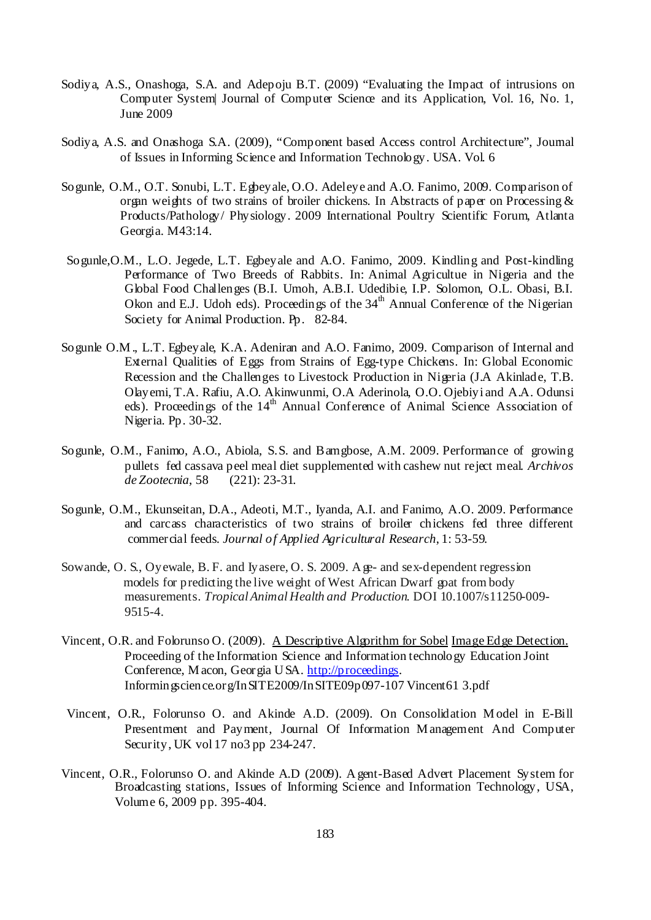- Sodiya, A.S., Onashoga, S.A. and Adepoju B.T. (2009) "Evaluating the Impact of intrusions on Computer System| Journal of Computer Science and its Application, Vol. 16, No. 1, June 2009
- Sodiya, A.S. and Onashoga S.A. (2009), "Component based Access control Architecture", Journal of Issues in Informing Science and Information Technology. USA. Vol. 6
- Sogunle, O.M., O.T. Sonubi, L.T. Egbeyale, O.O. Adeleye and A.O. Fanimo, 2009. Comparison of organ weights of two strains of broiler chickens. In Abstracts of paper on Processing & Products/Pathology/ Physiology. 2009 International Poultry Scientific Forum, Atlanta Georgia. M43:14.
- Sogunle,O.M., L.O. Jegede, L.T. Egbeyale and A.O. Fanimo, 2009. Kindling and Post-kindling Performance of Two Breeds of Rabbits. In: Animal Agricultue in Nigeria and the Global Food Challenges (B.I. Umoh, A.B.I. Udedibie, I.P. Solomon, O.L. Obasi, B.I. Okon and E.J. Udoh eds). Proceedings of the  $34<sup>th</sup>$  Annual Conference of the Nigerian Society for Animal Production. Pp. 82-84.
- Sogunle O.M ., L.T. Egbeyale, K.A. Adeniran and A.O. Fanimo, 2009. Comparison of Internal and External Qualities of Eggs from Strains of Egg-type Chickens. In: Global Economic Recession and the Challenges to Livestock Production in Nigeria (J.A Akinlade, T.B. Olayemi, T.A. Rafiu, A.O. Akinwunmi, O.A Aderinola, O.O. Ojebiyi and A.A. Odunsi eds). Proceedings of the 14<sup>th</sup> Annual Conference of Animal Science Association of Nigeria. Pp. 30-32.
- Sogunle, O.M., Fanimo, A.O., Abiola, S.S. and Bamgbose, A.M. 2009. Performance of growing pullets fed cassava peel meal diet supplemented with cashew nut reject meal. *Archivos de Zootecnia*, 58 (221): 23-31.
- Sogunle, O.M., Ekunseitan, D.A., Adeoti, M.T., Iyanda, A.I. and Fanimo, A.O. 2009. Performance and carcass characteristics of two strains of broiler chickens fed three different commercial feeds. *Journal of Applied Agricultural Research*, 1: 53-59.
- Sowande, O. S., Oyewale, B. F. and Iyasere, O. S. 2009. A ge- and sex-dependent regression models for predicting the live weight of West African Dwarf goat from body measurements. *Tropical Animal Health and Production*. DOI 10.1007/s11250-009- 9515-4.
- Vincent, O.R. and Folorunso O. (2009). A Descriptive Algorithm for Sobel Image Edge Detection. Proceeding of the Information Science and Information technology Education Joint Conference, M acon, Georgia U SA. http://proceedings. Informingscience.org/InSITE2009/InSITE09p097-107 Vincent61 3.pdf
- Vincent, O.R., Folorunso O. and Akinde A.D. (2009). On Consolidation M odel in E-Bill Presentment and Payment, Journal Of Information M anagement And Computer Security, UK vol 17 no3 pp 234-247.
- Vincent, O.R., Folorunso O. and Akinde A.D (2009). A gent-Based Advert Placement System for Broadcasting stations, Issues of Informing Science and Information Technology, USA, Volume 6, 2009 pp. 395-404.